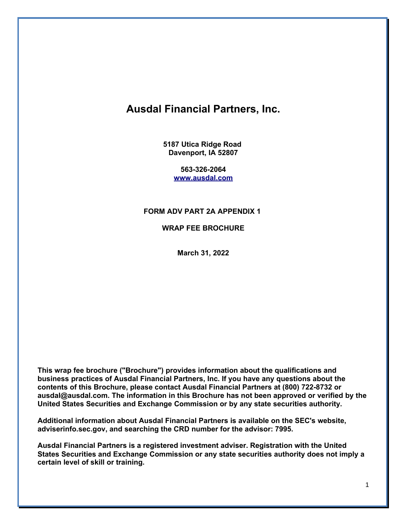# **Ausdal Financial Partners, Inc.**

**5187 Utica Ridge Road Davenport, IA 52807**

> **563-326-2064 [www.ausdal.com](http://www.ausdal.com/)**

### **FORM ADV PART 2A APPENDIX 1**

**WRAP FEE BROCHURE**

**March 31, 2022**

**This wrap fee brochure ("Brochure") provides information about the qualifications and business practices of Ausdal Financial Partners, Inc. If you have any questions about the contents of this Brochure, please contact Ausdal Financial Partners at (800) 722-8732 or ausdal@ausdal.com. The information in this Brochure has not been approved or verified by the United States Securities and Exchange Commission or by any state securities authority.**

**Additional information about Ausdal Financial Partners is available on the SEC's website, adviserinfo.sec.gov, and searching the CRD number for the advisor: 7995.**

**Ausdal Financial Partners is a registered investment adviser. Registration with the United States Securities and Exchange Commission or any state securities authority does not imply a certain level of skill or training.**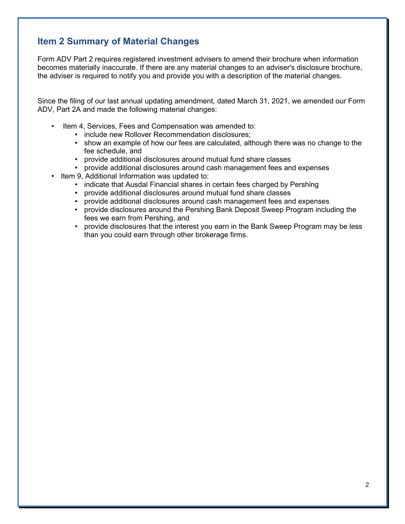# **Item 2 Summary of Material Changes**

Form ADV Part 2 requires registered investment advisers to amend their brochure when information becomes materially inaccurate. If there are any material changes to an adviser's disclosure brochure, the adviser is required to notify you and provide you with a description of the material changes.

Since the filing of our last annual updating amendment, dated March 31, 2021, we amended our Form ADV, Part 2A and made the following material changes:

- Item 4, Services, Fees and Compensation was amended to:
	- include new Rollover Recommendation disclosures;
	- show an example of how our fees are calculated, although there was no change to the fee schedule, and
	- provide additional disclosures around mutual fund share classes
	- provide additional disclosures around cash management fees and expenses
- Item 9. Additional Information was updated to:
	- indicate that Ausdal Financial shares in certain fees charged by Pershing
	- provide additional disclosures around mutual fund share classes
	- provide additional disclosures around cash management fees and expenses
	- provide disclosures around the Pershing Bank Deposit Sweep Program including the fees we earn from Pershing, and
	- provide disclosures that the interest you earn in the Bank Sweep Program may be less than you could earn through other brokerage firms.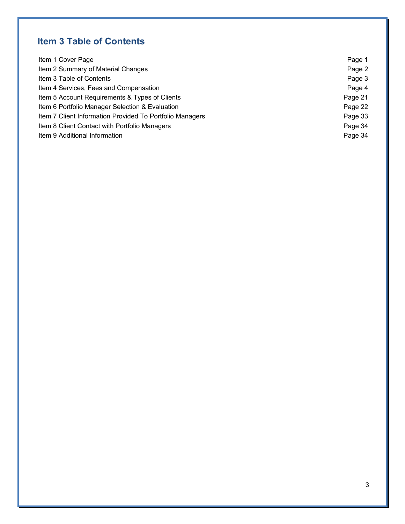# **Item 3 Table of Contents**

| Item 1 Cover Page                                        | Page 1  |
|----------------------------------------------------------|---------|
| Item 2 Summary of Material Changes                       | Page 2  |
| Item 3 Table of Contents                                 | Page 3  |
| Item 4 Services, Fees and Compensation                   | Page 4  |
| Item 5 Account Requirements & Types of Clients           | Page 21 |
| Item 6 Portfolio Manager Selection & Evaluation          | Page 22 |
| Item 7 Client Information Provided To Portfolio Managers | Page 33 |
| Item 8 Client Contact with Portfolio Managers            | Page 34 |
| Item 9 Additional Information                            | Page 34 |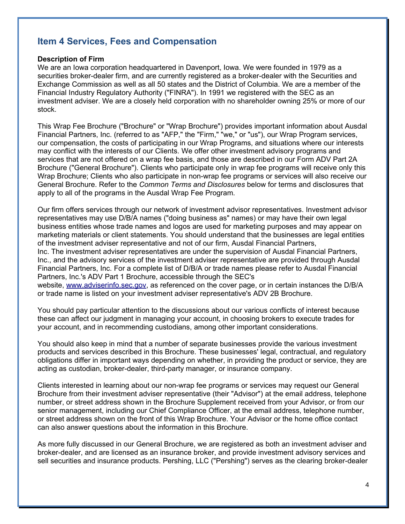# **Item 4 Services, Fees and Compensation**

#### **Description of Firm**

We are an Iowa corporation headquartered in Davenport, Iowa. We were founded in 1979 as a securities broker-dealer firm, and are currently registered as a broker-dealer with the Securities and Exchange Commission as well as all 50 states and the District of Columbia. We are a member of the Financial Industry Regulatory Authority ("FINRA"). In 1991 we registered with the SEC as an investment adviser. We are a closely held corporation with no shareholder owning 25% or more of our stock.

This Wrap Fee Brochure ("Brochure" or "Wrap Brochure") provides important information about Ausdal Financial Partners, Inc. (referred to as "AFP," the "Firm," "we," or "us"), our Wrap Program services, our compensation, the costs of participating in our Wrap Programs, and situations where our interests may conflict with the interests of our Clients. We offer other investment advisory programs and services that are not offered on a wrap fee basis, and those are described in our Form ADV Part 2A Brochure ("General Brochure"). Clients who participate only in wrap fee programs will receive only this Wrap Brochure; Clients who also participate in non-wrap fee programs or services will also receive our General Brochure. Refer to the *Common Terms and Disclosures* below for terms and disclosures that apply to all of the programs in the Ausdal Wrap Fee Program.

Our firm offers services through our network of investment advisor representatives. Investment advisor representatives may use D/B/A names ("doing business as" names) or may have their own legal business entities whose trade names and logos are used for marketing purposes and may appear on marketing materials or client statements. You should understand that the businesses are legal entities of the investment adviser representative and not of our firm, Ausdal Financial Partners, Inc. The investment adviser representatives are under the supervision of Ausdal Financial Partners, Inc., and the advisory services of the investment adviser representative are provided through Ausdal

Financial Partners, Inc. For a complete list of D/B/A or trade names please refer to Ausdal Financial Partners, Inc.'s ADV Part 1 Brochure, accessible through the SEC's

website, [www.adviserinfo.sec.gov,](http://www.adviserinfo.sec.gov/) as referenced on the cover page, or in certain instances the D/B/A or trade name is listed on your investment adviser representative's ADV 2B Brochure.

You should pay particular attention to the discussions about our various conflicts of interest because these can affect our judgment in managing your account, in choosing brokers to execute trades for your account, and in recommending custodians, among other important considerations.

You should also keep in mind that a number of separate businesses provide the various investment products and services described in this Brochure. These businesses' legal, contractual, and regulatory obligations differ in important ways depending on whether, in providing the product or service, they are acting as custodian, broker-dealer, third-party manager, or insurance company.

Clients interested in learning about our non-wrap fee programs or services may request our General Brochure from their investment adviser representative (their "Advisor") at the email address, telephone number, or street address shown in the Brochure Supplement received from your Advisor, or from our senior management, including our Chief Compliance Officer, at the email address, telephone number, or street address shown on the front of this Wrap Brochure. Your Advisor or the home office contact can also answer questions about the information in this Brochure.

As more fully discussed in our General Brochure, we are registered as both an investment adviser and broker-dealer, and are licensed as an insurance broker, and provide investment advisory services and sell securities and insurance products. Pershing, LLC ("Pershing") serves as the clearing broker-dealer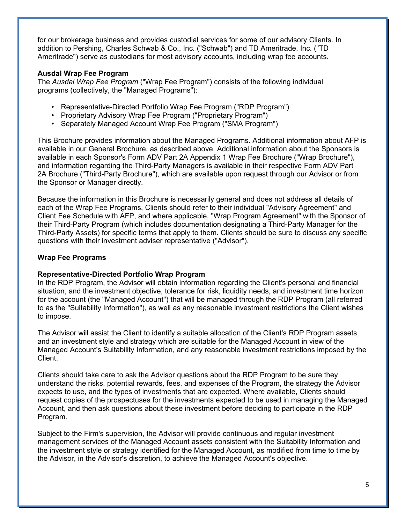for our brokerage business and provides custodial services for some of our advisory Clients. In addition to Pershing, Charles Schwab & Co., Inc. ("Schwab") and TD Ameritrade, Inc. ("TD Ameritrade") serve as custodians for most advisory accounts, including wrap fee accounts.

### **Ausdal Wrap Fee Program**

The *Ausdal Wrap Fee Program* ("Wrap Fee Program") consists of the following individual programs (collectively, the "Managed Programs"):

- Representative-Directed Portfolio Wrap Fee Program ("RDP Program")
- Proprietary Advisory Wrap Fee Program ("Proprietary Program")
- Separately Managed Account Wrap Fee Program ("SMA Program")

This Brochure provides information about the Managed Programs. Additional information about AFP is available in our General Brochure, as described above. Additional information about the Sponsors is available in each Sponsor's Form ADV Part 2A Appendix 1 Wrap Fee Brochure ("Wrap Brochure"), and information regarding the Third-Party Managers is available in their respective Form ADV Part 2A Brochure ("Third-Party Brochure"), which are available upon request through our Advisor or from the Sponsor or Manager directly.

Because the information in this Brochure is necessarily general and does not address all details of each of the Wrap Fee Programs, Clients should refer to their individual "Advisory Agreement" and Client Fee Schedule with AFP, and where applicable, "Wrap Program Agreement" with the Sponsor of their Third-Party Program (which includes documentation designating a Third-Party Manager for the Third-Party Assets) for specific terms that apply to them. Clients should be sure to discuss any specific questions with their investment adviser representative ("Advisor").

### **Wrap Fee Programs**

### **Representative-Directed Portfolio Wrap Program**

In the RDP Program, the Advisor will obtain information regarding the Client's personal and financial situation, and the investment objective, tolerance for risk, liquidity needs, and investment time horizon for the account (the "Managed Account") that will be managed through the RDP Program (all referred to as the "Suitability Information"), as well as any reasonable investment restrictions the Client wishes to impose.

The Advisor will assist the Client to identify a suitable allocation of the Client's RDP Program assets, and an investment style and strategy which are suitable for the Managed Account in view of the Managed Account's Suitability Information, and any reasonable investment restrictions imposed by the Client.

Clients should take care to ask the Advisor questions about the RDP Program to be sure they understand the risks, potential rewards, fees, and expenses of the Program, the strategy the Advisor expects to use, and the types of investments that are expected. Where available, Clients should request copies of the prospectuses for the investments expected to be used in managing the Managed Account, and then ask questions about these investment before deciding to participate in the RDP Program.

Subject to the Firm's supervision, the Advisor will provide continuous and regular investment management services of the Managed Account assets consistent with the Suitability Information and the investment style or strategy identified for the Managed Account, as modified from time to time by the Advisor, in the Advisor's discretion, to achieve the Managed Account's objective.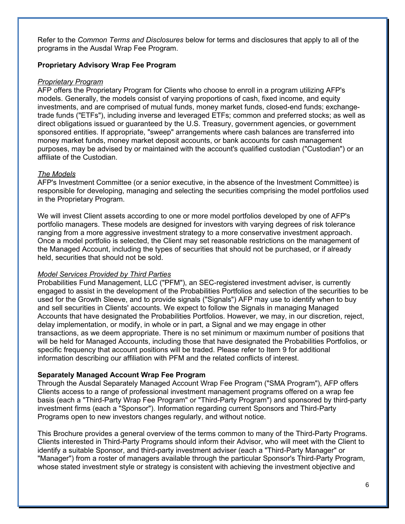Refer to the *Common Terms and Disclosures* below for terms and disclosures that apply to all of the programs in the Ausdal Wrap Fee Program.

### **Proprietary Advisory Wrap Fee Program**

#### *Proprietary Program*

AFP offers the Proprietary Program for Clients who choose to enroll in a program utilizing AFP's models. Generally, the models consist of varying proportions of cash, fixed income, and equity investments, and are comprised of mutual funds, money market funds, closed-end funds; exchangetrade funds ("ETFs"), including inverse and leveraged ETFs; common and preferred stocks; as well as direct obligations issued or guaranteed by the U.S. Treasury, government agencies, or government sponsored entities. If appropriate, "sweep" arrangements where cash balances are transferred into money market funds, money market deposit accounts, or bank accounts for cash management purposes, may be advised by or maintained with the account's qualified custodian ("Custodian") or an affiliate of the Custodian.

### *The Models*

AFP's Investment Committee (or a senior executive, in the absence of the Investment Committee) is responsible for developing, managing and selecting the securities comprising the model portfolios used in the Proprietary Program.

We will invest Client assets according to one or more model portfolios developed by one of AFP's portfolio managers. These models are designed for investors with varying degrees of risk tolerance ranging from a more aggressive investment strategy to a more conservative investment approach. Once a model portfolio is selected, the Client may set reasonable restrictions on the management of the Managed Account, including the types of securities that should not be purchased, or if already held, securities that should not be sold.

### *Model Services Provided by Third Parties*

Probabilities Fund Management, LLC ("PFM"), an SEC-registered investment adviser, is currently engaged to assist in the development of the Probabilities Portfolios and selection of the securities to be used for the Growth Sleeve, and to provide signals ("Signals") AFP may use to identify when to buy and sell securities in Clients' accounts. We expect to follow the Signals in managing Managed Accounts that have designated the Probabilities Portfolios. However, we may, in our discretion, reject, delay implementation, or modify, in whole or in part, a Signal and we may engage in other transactions, as we deem appropriate. There is no set minimum or maximum number of positions that will be held for Managed Accounts, including those that have designated the Probabilities Portfolios, or specific frequency that account positions will be traded. Please refer to Item 9 for additional information describing our affiliation with PFM and the related conflicts of interest.

### **Separately Managed Account Wrap Fee Program**

Through the Ausdal Separately Managed Account Wrap Fee Program ("SMA Program"), AFP offers Clients access to a range of professional investment management programs offered on a wrap fee basis (each a "Third-Party Wrap Fee Program" or "Third-Party Program") and sponsored by third-party investment firms (each a "Sponsor"). Information regarding current Sponsors and Third-Party Programs open to new investors changes regularly, and without notice.

This Brochure provides a general overview of the terms common to many of the Third-Party Programs. Clients interested in Third-Party Programs should inform their Advisor, who will meet with the Client to identify a suitable Sponsor, and third-party investment adviser (each a "Third-Party Manager" or "Manager") from a roster of managers available through the particular Sponsor's Third-Party Program, whose stated investment style or strategy is consistent with achieving the investment objective and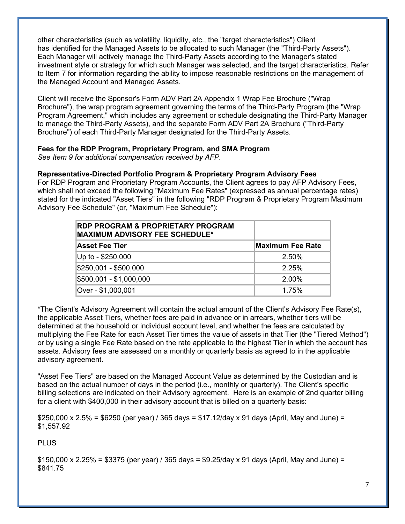other characteristics (such as volatility, liquidity, etc., the "target characteristics") Client has identified for the Managed Assets to be allocated to such Manager (the "Third-Party Assets"). Each Manager will actively manage the Third-Party Assets according to the Manager's stated investment style or strategy for which such Manager was selected, and the target characteristics. Refer to Item 7 for information regarding the ability to impose reasonable restrictions on the management of the Managed Account and Managed Assets.

Client will receive the Sponsor's Form ADV Part 2A Appendix 1 Wrap Fee Brochure ("Wrap Brochure"), the wrap program agreement governing the terms of the Third-Party Program (the "Wrap Program Agreement," which includes any agreement or schedule designating the Third-Party Manager to manage the Third-Party Assets), and the separate Form ADV Part 2A Brochure ("Third-Party Brochure") of each Third-Party Manager designated for the Third-Party Assets.

### **Fees for the RDP Program, Proprietary Program, and SMA Program**

*See Item 9 for additional compensation received by AFP.*

### **Representative-Directed Portfolio Program & Proprietary Program Advisory Fees**

For RDP Program and Proprietary Program Accounts, the Client agrees to pay AFP Advisory Fees, which shall not exceed the following "Maximum Fee Rates" (expressed as annual percentage rates) stated for the indicated "Asset Tiers" in the following "RDP Program & Proprietary Program Maximum Advisory Fee Schedule" (or, "Maximum Fee Schedule"):

| <b>RDP PROGRAM &amp; PROPRIETARY PROGRAM</b><br><b>MAXIMUM ADVISORY FEE SCHEDULE*</b> |                  |
|---------------------------------------------------------------------------------------|------------------|
| <b>Asset Fee Tier</b>                                                                 | Maximum Fee Rate |
| Up to - \$250,000                                                                     | 2.50%            |
| \$250,001 - \$500,000                                                                 | 2.25%            |
| \$500,001 - \$1,000,000                                                               | 2.00%            |
| Over - \$1,000,001                                                                    | 1.75%            |

\*The Client's Advisory Agreement will contain the actual amount of the Client's Advisory Fee Rate(s), the applicable Asset Tiers, whether fees are paid in advance or in arrears, whether tiers will be determined at the household or individual account level, and whether the fees are calculated by multiplying the Fee Rate for each Asset Tier times the value of assets in that Tier (the "Tiered Method") or by using a single Fee Rate based on the rate applicable to the highest Tier in which the account has assets. Advisory fees are assessed on a monthly or quarterly basis as agreed to in the applicable advisory agreement.

"Asset Fee Tiers" are based on the Managed Account Value as determined by the Custodian and is based on the actual number of days in the period (i.e., monthly or quarterly). The Client's specific billing selections are indicated on their Advisory agreement. Here is an example of 2nd quarter billing for a client with \$400,000 in their advisory account that is billed on a quarterly basis:

 $$250,000 \times 2.5\% = $6250$  (per year) / 365 days = \$17.12/day x 91 days (April, May and June) = \$1,557.92

PLUS

 $$150,000 \times 2.25\% = $3375$  (per year) / 365 days = \$9.25/day x 91 days (April, May and June) = \$841.75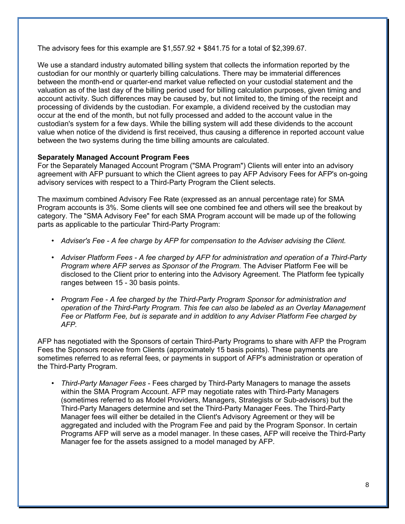The advisory fees for this example are  $$1,557.92 + $841.75$  for a total of  $$2,399.67$ .

We use a standard industry automated billing system that collects the information reported by the custodian for our monthly or quarterly billing calculations. There may be immaterial differences between the month-end or quarter-end market value reflected on your custodial statement and the valuation as of the last day of the billing period used for billing calculation purposes, given timing and account activity. Such differences may be caused by, but not limited to, the timing of the receipt and processing of dividends by the custodian. For example, a dividend received by the custodian may occur at the end of the month, but not fully processed and added to the account value in the custodian's system for a few days. While the billing system will add these dividends to the account value when notice of the dividend is first received, thus causing a difference in reported account value between the two systems during the time billing amounts are calculated.

### **Separately Managed Account Program Fees**

For the Separately Managed Account Program ("SMA Program") Clients will enter into an advisory agreement with AFP pursuant to which the Client agrees to pay AFP Advisory Fees for AFP's on-going advisory services with respect to a Third-Party Program the Client selects.

The maximum combined Advisory Fee Rate (expressed as an annual percentage rate) for SMA Program accounts is 3%. Some clients will see one combined fee and others will see the breakout by category. The "SMA Advisory Fee" for each SMA Program account will be made up of the following parts as applicable to the particular Third-Party Program:

- *Adviser's Fee A fee charge by AFP for compensation to the Adviser advising the Client.*
- *Adviser Platform Fees A fee charged by AFP for administration and operation of a Third-Party Program where AFP serves as Sponsor of the Program.* The Adviser Platform Fee will be disclosed to the Client prior to entering into the Advisory Agreement. The Platform fee typically ranges between 15 - 30 basis points.
- *Program Fee A fee charged by the Third-Party Program Sponsor for administration and operation of the Third-Party Program. This fee can also be labeled as an Overlay Management Fee or Platform Fee, but is separate and in addition to any Adviser Platform Fee charged by AFP.*

AFP has negotiated with the Sponsors of certain Third-Party Programs to share with AFP the Program Fees the Sponsors receive from Clients (approximately 15 basis points). These payments are sometimes referred to as referral fees, or payments in support of AFP's administration or operation of the Third-Party Program.

• *Third-Party Manager Fees* - Fees charged by Third-Party Managers to manage the assets within the SMA Program Account. AFP may negotiate rates with Third-Party Managers (sometimes referred to as Model Providers, Managers, Strategists or Sub-advisors) but the Third-Party Managers determine and set the Third-Party Manager Fees. The Third-Party Manager fees will either be detailed in the Client's Advisory Agreement or they will be aggregated and included with the Program Fee and paid by the Program Sponsor. In certain Programs AFP will serve as a model manager. In these cases, AFP will receive the Third-Party Manager fee for the assets assigned to a model managed by AFP.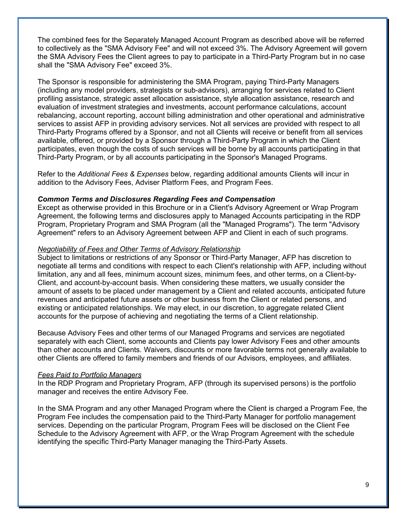The combined fees for the Separately Managed Account Program as described above will be referred to collectively as the "SMA Advisory Fee" and will not exceed 3%. The Advisory Agreement will govern the SMA Advisory Fees the Client agrees to pay to participate in a Third-Party Program but in no case shall the "SMA Advisory Fee" exceed 3%.

The Sponsor is responsible for administering the SMA Program, paying Third-Party Managers (including any model providers, strategists or sub-advisors), arranging for services related to Client profiling assistance, strategic asset allocation assistance, style allocation assistance, research and evaluation of investment strategies and investments, account performance calculations, account rebalancing, account reporting, account billing administration and other operational and administrative services to assist AFP in providing advisory services. Not all services are provided with respect to all Third-Party Programs offered by a Sponsor, and not all Clients will receive or benefit from all services available, offered, or provided by a Sponsor through a Third-Party Program in which the Client participates, even though the costs of such services will be borne by all accounts participating in that Third-Party Program, or by all accounts participating in the Sponsor's Managed Programs.

Refer to the *Additional Fees & Expenses* below, regarding additional amounts Clients will incur in addition to the Advisory Fees, Adviser Platform Fees, and Program Fees.

#### *Common Terms and Disclosures Regarding Fees and Compensation*

Except as otherwise provided in this Brochure or in a Client's Advisory Agreement or Wrap Program Agreement, the following terms and disclosures apply to Managed Accounts participating in the RDP Program, Proprietary Program and SMA Program (all the "Managed Programs"). The term "Advisory Agreement" refers to an Advisory Agreement between AFP and Client in each of such programs.

#### *Negotiability of Fees and Other Terms of Advisory Relationship*

Subject to limitations or restrictions of any Sponsor or Third-Party Manager, AFP has discretion to negotiate all terms and conditions with respect to each Client's relationship with AFP, including without limitation, any and all fees, minimum account sizes, minimum fees, and other terms, on a Client-by-Client, and account-by-account basis. When considering these matters, we usually consider the amount of assets to be placed under management by a Client and related accounts, anticipated future revenues and anticipated future assets or other business from the Client or related persons, and existing or anticipated relationships. We may elect, in our discretion, to aggregate related Client accounts for the purpose of achieving and negotiating the terms of a Client relationship.

Because Advisory Fees and other terms of our Managed Programs and services are negotiated separately with each Client, some accounts and Clients pay lower Advisory Fees and other amounts than other accounts and Clients. Waivers, discounts or more favorable terms not generally available to other Clients are offered to family members and friends of our Advisors, employees, and affiliates.

#### *Fees Paid to Portfolio Managers*

In the RDP Program and Proprietary Program, AFP (through its supervised persons) is the portfolio manager and receives the entire Advisory Fee.

In the SMA Program and any other Managed Program where the Client is charged a Program Fee, the Program Fee includes the compensation paid to the Third-Party Manager for portfolio management services. Depending on the particular Program, Program Fees will be disclosed on the Client Fee Schedule to the Advisory Agreement with AFP, or the Wrap Program Agreement with the schedule identifying the specific Third-Party Manager managing the Third-Party Assets.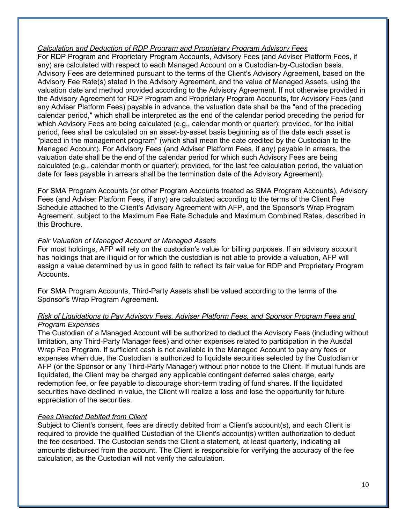### *Calculation and Deduction of RDP Program and Proprietary Program Advisory Fees*

For RDP Program and Proprietary Program Accounts, Advisory Fees (and Adviser Platform Fees, if any) are calculated with respect to each Managed Account on a Custodian-by-Custodian basis. Advisory Fees are determined pursuant to the terms of the Client's Advisory Agreement, based on the Advisory Fee Rate(s) stated in the Advisory Agreement, and the value of Managed Assets, using the valuation date and method provided according to the Advisory Agreement. If not otherwise provided in the Advisory Agreement for RDP Program and Proprietary Program Accounts, for Advisory Fees (and any Adviser Platform Fees) payable in advance, the valuation date shall be the "end of the preceding calendar period," which shall be interpreted as the end of the calendar period preceding the period for which Advisory Fees are being calculated (e.g., calendar month or quarter); provided, for the initial period, fees shall be calculated on an asset-by-asset basis beginning as of the date each asset is "placed in the management program" (which shall mean the date credited by the Custodian to the Managed Account). For Advisory Fees (and Adviser Platform Fees, if any) payable in arrears, the valuation date shall be the end of the calendar period for which such Advisory Fees are being calculated (e.g., calendar month or quarter); provided, for the last fee calculation period, the valuation date for fees payable in arrears shall be the termination date of the Advisory Agreement).

For SMA Program Accounts (or other Program Accounts treated as SMA Program Accounts), Advisory Fees (and Adviser Platform Fees, if any) are calculated according to the terms of the Client Fee Schedule attached to the Client's Advisory Agreement with AFP, and the Sponsor's Wrap Program Agreement, subject to the Maximum Fee Rate Schedule and Maximum Combined Rates, described in this Brochure.

### *Fair Valuation of Managed Account or Managed Assets*

For most holdings, AFP will rely on the custodian's value for billing purposes. If an advisory account has holdings that are illiquid or for which the custodian is not able to provide a valuation, AFP will assign a value determined by us in good faith to reflect its fair value for RDP and Proprietary Program Accounts.

For SMA Program Accounts, Third-Party Assets shall be valued according to the terms of the Sponsor's Wrap Program Agreement.

### *Risk of Liquidations to Pay Advisory Fees, Adviser Platform Fees, and Sponsor Program Fees and Program Expenses*

The Custodian of a Managed Account will be authorized to deduct the Advisory Fees (including without limitation, any Third-Party Manager fees) and other expenses related to participation in the Ausdal Wrap Fee Program. If sufficient cash is not available in the Managed Account to pay any fees or expenses when due, the Custodian is authorized to liquidate securities selected by the Custodian or AFP (or the Sponsor or any Third-Party Manager) without prior notice to the Client. If mutual funds are liquidated, the Client may be charged any applicable contingent deferred sales charge, early redemption fee, or fee payable to discourage short-term trading of fund shares. If the liquidated securities have declined in value, the Client will realize a loss and lose the opportunity for future appreciation of the securities.

### *Fees Directed Debited from Client*

Subject to Client's consent, fees are directly debited from a Client's account(s), and each Client is required to provide the qualified Custodian of the Client's account(s) written authorization to deduct the fee described. The Custodian sends the Client a statement, at least quarterly, indicating all amounts disbursed from the account. The Client is responsible for verifying the accuracy of the fee calculation, as the Custodian will not verify the calculation.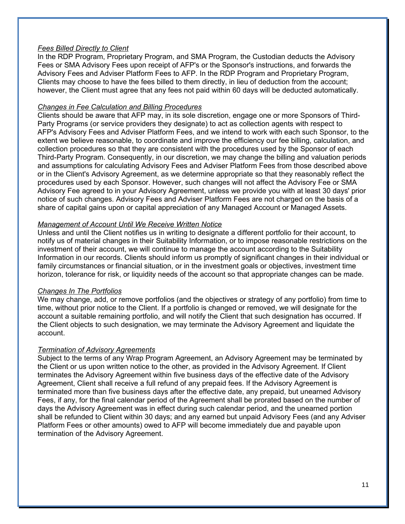### *Fees Billed Directly to Client*

In the RDP Program, Proprietary Program, and SMA Program, the Custodian deducts the Advisory Fees or SMA Advisory Fees upon receipt of AFP's or the Sponsor's instructions, and forwards the Advisory Fees and Adviser Platform Fees to AFP. In the RDP Program and Proprietary Program, Clients may choose to have the fees billed to them directly, in lieu of deduction from the account; however, the Client must agree that any fees not paid within 60 days will be deducted automatically.

### *Changes in Fee Calculation and Billing Procedures*

Clients should be aware that AFP may, in its sole discretion, engage one or more Sponsors of Third-Party Programs (or service providers they designate) to act as collection agents with respect to AFP's Advisory Fees and Adviser Platform Fees, and we intend to work with each such Sponsor, to the extent we believe reasonable, to coordinate and improve the efficiency our fee billing, calculation, and collection procedures so that they are consistent with the procedures used by the Sponsor of each Third-Party Program. Consequently, in our discretion, we may change the billing and valuation periods and assumptions for calculating Advisory Fees and Adviser Platform Fees from those described above or in the Client's Advisory Agreement, as we determine appropriate so that they reasonably reflect the procedures used by each Sponsor. However, such changes will not affect the Advisory Fee or SMA Advisory Fee agreed to in your Advisory Agreement, unless we provide you with at least 30 days' prior notice of such changes. Advisory Fees and Adviser Platform Fees are not charged on the basis of a share of capital gains upon or capital appreciation of any Managed Account or Managed Assets.

### *Management of Account Until We Receive Written Notice*

Unless and until the Client notifies us in writing to designate a different portfolio for their account, to notify us of material changes in their Suitability Information, or to impose reasonable restrictions on the investment of their account, we will continue to manage the account according to the Suitability Information in our records. Clients should inform us promptly of significant changes in their individual or family circumstances or financial situation, or in the investment goals or objectives, investment time horizon, tolerance for risk, or liquidity needs of the account so that appropriate changes can be made.

### *Changes In The Portfolios*

We may change, add, or remove portfolios (and the objectives or strategy of any portfolio) from time to time, without prior notice to the Client. If a portfolio is changed or removed, we will designate for the account a suitable remaining portfolio, and will notify the Client that such designation has occurred. If the Client objects to such designation, we may terminate the Advisory Agreement and liquidate the account.

### *Termination of Advisory Agreements*

Subject to the terms of any Wrap Program Agreement, an Advisory Agreement may be terminated by the Client or us upon written notice to the other, as provided in the Advisory Agreement. If Client terminates the Advisory Agreement within five business days of the effective date of the Advisory Agreement, Client shall receive a full refund of any prepaid fees. If the Advisory Agreement is terminated more than five business days after the effective date, any prepaid, but unearned Advisory Fees, if any, for the final calendar period of the Agreement shall be prorated based on the number of days the Advisory Agreement was in effect during such calendar period, and the unearned portion shall be refunded to Client within 30 days; and any earned but unpaid Advisory Fees (and any Adviser Platform Fees or other amounts) owed to AFP will become immediately due and payable upon termination of the Advisory Agreement.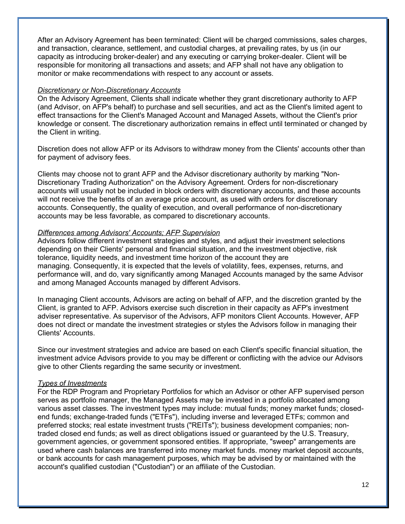After an Advisory Agreement has been terminated: Client will be charged commissions, sales charges, and transaction, clearance, settlement, and custodial charges, at prevailing rates, by us (in our capacity as introducing broker-dealer) and any executing or carrying broker-dealer. Client will be responsible for monitoring all transactions and assets; and AFP shall not have any obligation to monitor or make recommendations with respect to any account or assets.

#### *Discretionary or Non-Discretionary Accounts*

On the Advisory Agreement, Clients shall indicate whether they grant discretionary authority to AFP (and Advisor, on AFP's behalf) to purchase and sell securities, and act as the Client's limited agent to effect transactions for the Client's Managed Account and Managed Assets, without the Client's prior knowledge or consent. The discretionary authorization remains in effect until terminated or changed by the Client in writing.

Discretion does not allow AFP or its Advisors to withdraw money from the Clients' accounts other than for payment of advisory fees.

Clients may choose not to grant AFP and the Advisor discretionary authority by marking "Non-Discretionary Trading Authorization" on the Advisory Agreement. Orders for non-discretionary accounts will usually not be included in block orders with discretionary accounts, and these accounts will not receive the benefits of an average price account, as used with orders for discretionary accounts. Consequently, the quality of execution, and overall performance of non-discretionary accounts may be less favorable, as compared to discretionary accounts.

#### *Differences among Advisors' Accounts; AFP Supervision*

Advisors follow different investment strategies and styles, and adjust their investment selections depending on their Clients' personal and financial situation, and the investment objective, risk tolerance, liquidity needs, and investment time horizon of the account they are managing. Consequently, it is expected that the levels of volatility, fees, expenses, returns, and performance will, and do, vary significantly among Managed Accounts managed by the same Advisor and among Managed Accounts managed by different Advisors.

In managing Client accounts, Advisors are acting on behalf of AFP, and the discretion granted by the Client, is granted to AFP. Advisors exercise such discretion in their capacity as AFP's investment adviser representative. As supervisor of the Advisors, AFP monitors Client Accounts. However, AFP does not direct or mandate the investment strategies or styles the Advisors follow in managing their Clients' Accounts.

Since our investment strategies and advice are based on each Client's specific financial situation, the investment advice Advisors provide to you may be different or conflicting with the advice our Advisors give to other Clients regarding the same security or investment.

#### *Types of Investments*

For the RDP Program and Proprietary Portfolios for which an Advisor or other AFP supervised person serves as portfolio manager, the Managed Assets may be invested in a portfolio allocated among various asset classes. The investment types may include: mutual funds; money market funds; closedend funds; exchange-traded funds ("ETFs"), including inverse and leveraged ETFs; common and preferred stocks; real estate investment trusts ("REITs"); business development companies; nontraded closed end funds; as well as direct obligations issued or guaranteed by the U.S. Treasury, government agencies, or government sponsored entities. If appropriate, "sweep" arrangements are used where cash balances are transferred into money market funds. money market deposit accounts, or bank accounts for cash management purposes, which may be advised by or maintained with the account's qualified custodian ("Custodian") or an affiliate of the Custodian.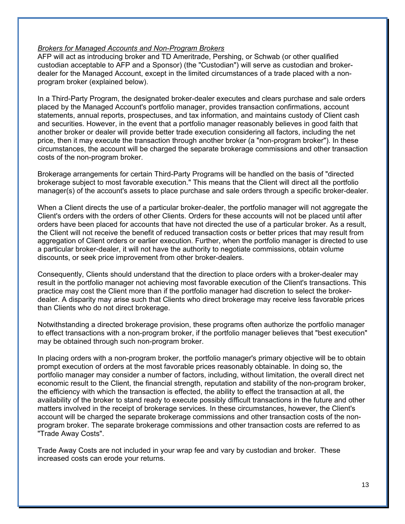#### *Brokers for Managed Accounts and Non-Program Brokers*

AFP will act as introducing broker and TD Ameritrade, Pershing, or Schwab (or other qualified custodian acceptable to AFP and a Sponsor) (the "Custodian") will serve as custodian and brokerdealer for the Managed Account, except in the limited circumstances of a trade placed with a nonprogram broker (explained below).

In a Third-Party Program, the designated broker-dealer executes and clears purchase and sale orders placed by the Managed Account's portfolio manager, provides transaction confirmations, account statements, annual reports, prospectuses, and tax information, and maintains custody of Client cash and securities. However, in the event that a portfolio manager reasonably believes in good faith that another broker or dealer will provide better trade execution considering all factors, including the net price, then it may execute the transaction through another broker (a "non-program broker"). In these circumstances, the account will be charged the separate brokerage commissions and other transaction costs of the non-program broker.

Brokerage arrangements for certain Third-Party Programs will be handled on the basis of "directed brokerage subject to most favorable execution." This means that the Client will direct all the portfolio manager(s) of the account's assets to place purchase and sale orders through a specific broker-dealer.

When a Client directs the use of a particular broker-dealer, the portfolio manager will not aggregate the Client's orders with the orders of other Clients. Orders for these accounts will not be placed until after orders have been placed for accounts that have not directed the use of a particular broker. As a result, the Client will not receive the benefit of reduced transaction costs or better prices that may result from aggregation of Client orders or earlier execution. Further, when the portfolio manager is directed to use a particular broker-dealer, it will not have the authority to negotiate commissions, obtain volume discounts, or seek price improvement from other broker-dealers.

Consequently, Clients should understand that the direction to place orders with a broker-dealer may result in the portfolio manager not achieving most favorable execution of the Client's transactions. This practice may cost the Client more than if the portfolio manager had discretion to select the brokerdealer. A disparity may arise such that Clients who direct brokerage may receive less favorable prices than Clients who do not direct brokerage.

Notwithstanding a directed brokerage provision, these programs often authorize the portfolio manager to effect transactions with a non-program broker, if the portfolio manager believes that "best execution" may be obtained through such non-program broker.

In placing orders with a non-program broker, the portfolio manager's primary objective will be to obtain prompt execution of orders at the most favorable prices reasonably obtainable. In doing so, the portfolio manager may consider a number of factors, including, without limitation, the overall direct net economic result to the Client, the financial strength, reputation and stability of the non-program broker, the efficiency with which the transaction is effected, the ability to effect the transaction at all, the availability of the broker to stand ready to execute possibly difficult transactions in the future and other matters involved in the receipt of brokerage services. In these circumstances, however, the Client's account will be charged the separate brokerage commissions and other transaction costs of the nonprogram broker. The separate brokerage commissions and other transaction costs are referred to as "Trade Away Costs".

Trade Away Costs are not included in your wrap fee and vary by custodian and broker. These increased costs can erode your returns.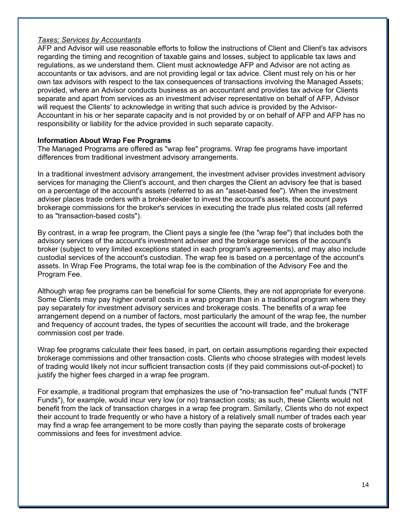### *Taxes; Services by Accountants*

AFP and Advisor will use reasonable efforts to follow the instructions of Client and Client's tax advisors regarding the timing and recognition of taxable gains and losses, subject to applicable tax laws and regulations, as we understand them. Client must acknowledge AFP and Advisor are not acting as accountants or tax advisors, and are not providing legal or tax advice. Client must rely on his or her own tax advisors with respect to the tax consequences of transactions involving the Managed Assets; provided, where an Advisor conducts business as an accountant and provides tax advice for Clients separate and apart from services as an investment adviser representative on behalf of AFP, Advisor will request the Clients' to acknowledge in writing that such advice is provided by the Advisor-Accountant in his or her separate capacity and is not provided by or on behalf of AFP and AFP has no responsibility or liability for the advice provided in such separate capacity.

### **Information About Wrap Fee Programs**

The Managed Programs are offered as "wrap fee" programs. Wrap fee programs have important differences from traditional investment advisory arrangements.

In a traditional investment advisory arrangement, the investment adviser provides investment advisory services for managing the Client's account, and then charges the Client an advisory fee that is based on a percentage of the account's assets (referred to as an "asset-based fee"). When the investment adviser places trade orders with a broker-dealer to invest the account's assets, the account pays brokerage commissions for the broker's services in executing the trade plus related costs (all referred to as "transaction-based costs").

By contrast, in a wrap fee program, the Client pays a single fee (the "wrap fee") that includes both the advisory services of the account's investment adviser and the brokerage services of the account's broker (subject to very limited exceptions stated in each program's agreements), and may also include custodial services of the account's custodian. The wrap fee is based on a percentage of the account's assets. In Wrap Fee Programs, the total wrap fee is the combination of the Advisory Fee and the Program Fee.

Although wrap fee programs can be beneficial for some Clients, they are not appropriate for everyone. Some Clients may pay higher overall costs in a wrap program than in a traditional program where they pay separately for investment advisory services and brokerage costs. The benefits of a wrap fee arrangement depend on a number of factors, most particularly the amount of the wrap fee, the number and frequency of account trades, the types of securities the account will trade, and the brokerage commission cost per trade.

Wrap fee programs calculate their fees based, in part, on certain assumptions regarding their expected brokerage commissions and other transaction costs. Clients who choose strategies with modest levels of trading would likely not incur sufficient transaction costs (if they paid commissions out-of-pocket) to justify the higher fees charged in a wrap fee program.

For example, a traditional program that emphasizes the use of "no-transaction fee" mutual funds ("NTF Funds"), for example, would incur very low (or no) transaction costs; as such, these Clients would not benefit from the lack of transaction charges in a wrap fee program. Similarly, Clients who do not expect their account to trade frequently or who have a history of a relatively small number of trades each year may find a wrap fee arrangement to be more costly than paying the separate costs of brokerage commissions and fees for investment advice.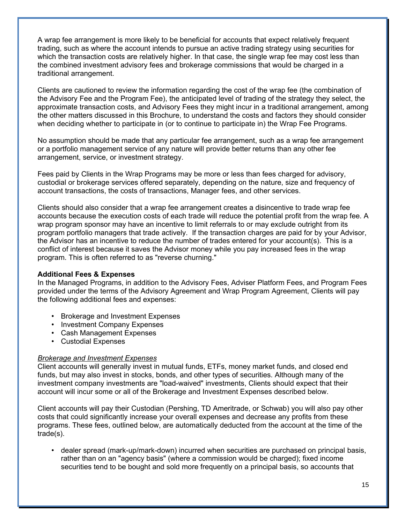A wrap fee arrangement is more likely to be beneficial for accounts that expect relatively frequent trading, such as where the account intends to pursue an active trading strategy using securities for which the transaction costs are relatively higher. In that case, the single wrap fee may cost less than the combined investment advisory fees and brokerage commissions that would be charged in a traditional arrangement.

Clients are cautioned to review the information regarding the cost of the wrap fee (the combination of the Advisory Fee and the Program Fee), the anticipated level of trading of the strategy they select, the approximate transaction costs, and Advisory Fees they might incur in a traditional arrangement, among the other matters discussed in this Brochure, to understand the costs and factors they should consider when deciding whether to participate in (or to continue to participate in) the Wrap Fee Programs.

No assumption should be made that any particular fee arrangement, such as a wrap fee arrangement or a portfolio management service of any nature will provide better returns than any other fee arrangement, service, or investment strategy.

Fees paid by Clients in the Wrap Programs may be more or less than fees charged for advisory, custodial or brokerage services offered separately, depending on the nature, size and frequency of account transactions, the costs of transactions, Manager fees, and other services.

Clients should also consider that a wrap fee arrangement creates a disincentive to trade wrap fee accounts because the execution costs of each trade will reduce the potential profit from the wrap fee. A wrap program sponsor may have an incentive to limit referrals to or may exclude outright from its program portfolio managers that trade actively. If the transaction charges are paid for by your Advisor, the Advisor has an incentive to reduce the number of trades entered for your account(s). This is a conflict of interest because it saves the Advisor money while you pay increased fees in the wrap program. This is often referred to as "reverse churning."

### **Additional Fees & Expenses**

In the Managed Programs, in addition to the Advisory Fees, Adviser Platform Fees, and Program Fees provided under the terms of the Advisory Agreement and Wrap Program Agreement, Clients will pay the following additional fees and expenses:

- Brokerage and Investment Expenses
- Investment Company Expenses
- Cash Management Expenses
- Custodial Expenses

### *Brokerage and Investment Expenses*

Client accounts will generally invest in mutual funds, ETFs, money market funds, and closed end funds, but may also invest in stocks, bonds, and other types of securities. Although many of the investment company investments are "load-waived" investments, Clients should expect that their account will incur some or all of the Brokerage and Investment Expenses described below.

Client accounts will pay their Custodian (Pershing, TD Ameritrade, or Schwab) you will also pay other costs that could significantly increase your overall expenses and decrease any profits from these programs. These fees, outlined below, are automatically deducted from the account at the time of the trade(s).

• dealer spread (mark-up/mark-down) incurred when securities are purchased on principal basis, rather than on an "agency basis" (where a commission would be charged); fixed income securities tend to be bought and sold more frequently on a principal basis, so accounts that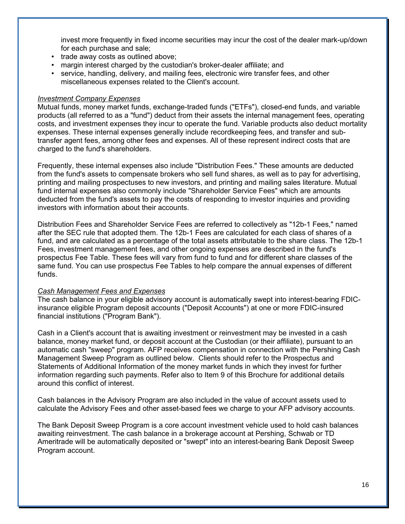invest more frequently in fixed income securities may incur the cost of the dealer mark-up/down for each purchase and sale;

- trade away costs as outlined above;
- margin interest charged by the custodian's broker-dealer affiliate; and
- service, handling, delivery, and mailing fees, electronic wire transfer fees, and other miscellaneous expenses related to the Client's account.

#### *Investment Company Expenses*

Mutual funds, money market funds, exchange-traded funds ("ETFs"), closed-end funds, and variable products (all referred to as a "fund") deduct from their assets the internal management fees, operating costs, and investment expenses they incur to operate the fund. Variable products also deduct mortality expenses. These internal expenses generally include recordkeeping fees, and transfer and subtransfer agent fees, among other fees and expenses. All of these represent indirect costs that are charged to the fund's shareholders.

Frequently, these internal expenses also include "Distribution Fees." These amounts are deducted from the fund's assets to compensate brokers who sell fund shares, as well as to pay for advertising, printing and mailing prospectuses to new investors, and printing and mailing sales literature. Mutual fund internal expenses also commonly include "Shareholder Service Fees" which are amounts deducted from the fund's assets to pay the costs of responding to investor inquiries and providing investors with information about their accounts.

Distribution Fees and Shareholder Service Fees are referred to collectively as "12b-1 Fees," named after the SEC rule that adopted them. The 12b-1 Fees are calculated for each class of shares of a fund, and are calculated as a percentage of the total assets attributable to the share class. The 12b-1 Fees, investment management fees, and other ongoing expenses are described in the fund's prospectus Fee Table. These fees will vary from fund to fund and for different share classes of the same fund. You can use prospectus Fee Tables to help compare the annual expenses of different funds.

### *Cash Management Fees and Expenses*

The cash balance in your eligible advisory account is automatically swept into interest-bearing FDICinsurance eligible Program deposit accounts ("Deposit Accounts") at one or more FDIC-insured financial institutions ("Program Bank").

Cash in a Client's account that is awaiting investment or reinvestment may be invested in a cash balance, money market fund, or deposit account at the Custodian (or their affiliate), pursuant to an automatic cash "sweep" program. AFP receives compensation in connection with the Pershing Cash Management Sweep Program as outlined below. Clients should refer to the Prospectus and Statements of Additional Information of the money market funds in which they invest for further information regarding such payments. Refer also to Item 9 of this Brochure for additional details around this conflict of interest.

Cash balances in the Advisory Program are also included in the value of account assets used to calculate the Advisory Fees and other asset-based fees we charge to your AFP advisory accounts.

The Bank Deposit Sweep Program is a core account investment vehicle used to hold cash balances awaiting reinvestment. The cash balance in a brokerage account at Pershing, Schwab or TD Ameritrade will be automatically deposited or "swept" into an interest-bearing Bank Deposit Sweep Program account.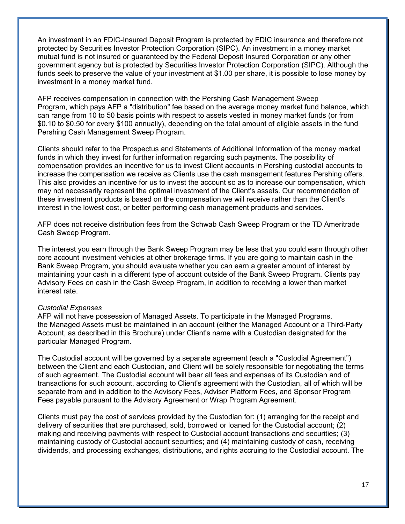An investment in an FDIC-Insured Deposit Program is protected by FDIC insurance and therefore not protected by Securities Investor Protection Corporation (SIPC). An investment in a money market mutual fund is not insured or guaranteed by the Federal Deposit Insured Corporation or any other government agency but is protected by Securities Investor Protection Corporation (SIPC). Although the funds seek to preserve the value of your investment at \$1.00 per share, it is possible to lose money by investment in a money market fund.

AFP receives compensation in connection with the Pershing Cash Management Sweep Program, which pays AFP a "distribution" fee based on the average money market fund balance, which can range from 10 to 50 basis points with respect to assets vested in money market funds (or from \$0.10 to \$0.50 for every \$100 annually), depending on the total amount of eligible assets in the fund Pershing Cash Management Sweep Program.

Clients should refer to the Prospectus and Statements of Additional Information of the money market funds in which they invest for further information regarding such payments. The possibility of compensation provides an incentive for us to invest Client accounts in Pershing custodial accounts to increase the compensation we receive as Clients use the cash management features Pershing offers. This also provides an incentive for us to invest the account so as to increase our compensation, which may not necessarily represent the optimal investment of the Client's assets. Our recommendation of these investment products is based on the compensation we will receive rather than the Client's interest in the lowest cost, or better performing cash management products and services.

AFP does not receive distribution fees from the Schwab Cash Sweep Program or the TD Ameritrade Cash Sweep Program.

The interest you earn through the Bank Sweep Program may be less that you could earn through other core account investment vehicles at other brokerage firms. If you are going to maintain cash in the Bank Sweep Program, you should evaluate whether you can earn a greater amount of interest by maintaining your cash in a different type of account outside of the Bank Sweep Program. Clients pay Advisory Fees on cash in the Cash Sweep Program, in addition to receiving a lower than market interest rate.

### *Custodial Expenses*

AFP will not have possession of Managed Assets. To participate in the Managed Programs, the Managed Assets must be maintained in an account (either the Managed Account or a Third-Party Account, as described in this Brochure) under Client's name with a Custodian designated for the particular Managed Program.

The Custodial account will be governed by a separate agreement (each a "Custodial Agreement") between the Client and each Custodian, and Client will be solely responsible for negotiating the terms of such agreement. The Custodial account will bear all fees and expenses of its Custodian and of transactions for such account, according to Client's agreement with the Custodian, all of which will be separate from and in addition to the Advisory Fees, Adviser Platform Fees, and Sponsor Program Fees payable pursuant to the Advisory Agreement or Wrap Program Agreement.

Clients must pay the cost of services provided by the Custodian for: (1) arranging for the receipt and delivery of securities that are purchased, sold, borrowed or loaned for the Custodial account; (2) making and receiving payments with respect to Custodial account transactions and securities; (3) maintaining custody of Custodial account securities; and (4) maintaining custody of cash, receiving dividends, and processing exchanges, distributions, and rights accruing to the Custodial account. The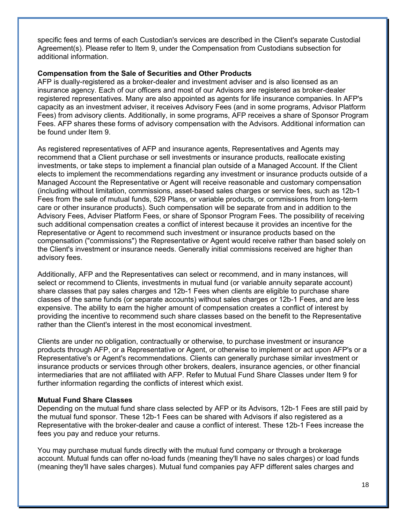specific fees and terms of each Custodian's services are described in the Client's separate Custodial Agreement(s). Please refer to Item 9, under the Compensation from Custodians subsection for additional information.

### **Compensation from the Sale of Securities and Other Products**

AFP is dually-registered as a broker-dealer and investment adviser and is also licensed as an insurance agency. Each of our officers and most of our Advisors are registered as broker-dealer registered representatives. Many are also appointed as agents for life insurance companies. In AFP's capacity as an investment adviser, it receives Advisory Fees (and in some programs, Advisor Platform Fees) from advisory clients. Additionally, in some programs, AFP receives a share of Sponsor Program Fees. AFP shares these forms of advisory compensation with the Advisors. Additional information can be found under Item 9.

As registered representatives of AFP and insurance agents, Representatives and Agents may recommend that a Client purchase or sell investments or insurance products, reallocate existing investments, or take steps to implement a financial plan outside of a Managed Account. If the Client elects to implement the recommendations regarding any investment or insurance products outside of a Managed Account the Representative or Agent will receive reasonable and customary compensation (including without limitation, commissions, asset-based sales charges or service fees, such as 12b-1 Fees from the sale of mutual funds, 529 Plans, or variable products, or commissions from long-term care or other insurance products). Such compensation will be separate from and in addition to the Advisory Fees, Adviser Platform Fees, or share of Sponsor Program Fees. The possibility of receiving such additional compensation creates a conflict of interest because it provides an incentive for the Representative or Agent to recommend such investment or insurance products based on the compensation ("commissions") the Representative or Agent would receive rather than based solely on the Client's investment or insurance needs. Generally initial commissions received are higher than advisory fees.

Additionally, AFP and the Representatives can select or recommend, and in many instances, will select or recommend to Clients, investments in mutual fund (or variable annuity separate account) share classes that pay sales charges and 12b-1 Fees when clients are eligible to purchase share classes of the same funds (or separate accounts) without sales charges or 12b-1 Fees, and are less expensive. The ability to earn the higher amount of compensation creates a conflict of interest by providing the incentive to recommend such share classes based on the benefit to the Representative rather than the Client's interest in the most economical investment.

Clients are under no obligation, contractually or otherwise, to purchase investment or insurance products through AFP, or a Representative or Agent, or otherwise to implement or act upon AFP's or a Representative's or Agent's recommendations. Clients can generally purchase similar investment or insurance products or services through other brokers, dealers, insurance agencies, or other financial intermediaries that are not affiliated with AFP. Refer to Mutual Fund Share Classes under Item 9 for further information regarding the conflicts of interest which exist.

### **Mutual Fund Share Classes**

Depending on the mutual fund share class selected by AFP or its Advisors, 12b-1 Fees are still paid by the mutual fund sponsor. These 12b-1 Fees can be shared with Advisors if also registered as a Representative with the broker-dealer and cause a conflict of interest. These 12b-1 Fees increase the fees you pay and reduce your returns.

You may purchase mutual funds directly with the mutual fund company or through a brokerage account. Mutual funds can offer no-load funds (meaning they'll have no sales charges) or load funds (meaning they'll have sales charges). Mutual fund companies pay AFP different sales charges and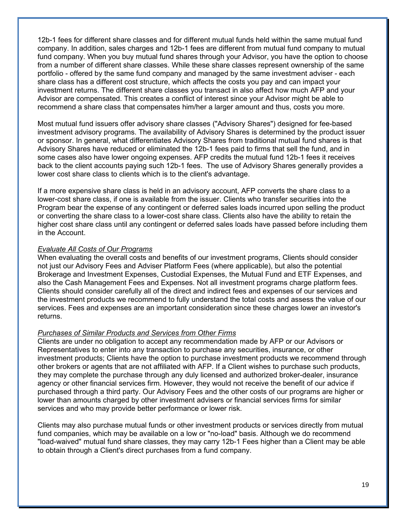12b-1 fees for different share classes and for different mutual funds held within the same mutual fund company. In addition, sales charges and 12b-1 fees are different from mutual fund company to mutual fund company. When you buy mutual fund shares through your Advisor, you have the option to choose from a number of different share classes. While these share classes represent ownership of the same portfolio - offered by the same fund company and managed by the same investment adviser - each share class has a different cost structure, which affects the costs you pay and can impact your investment returns. The different share classes you transact in also affect how much AFP and your Advisor are compensated. This creates a conflict of interest since your Advisor might be able to recommend a share class that compensates him/her a larger amount and thus, costs you more.

Most mutual fund issuers offer advisory share classes ("Advisory Shares") designed for fee-based investment advisory programs. The availability of Advisory Shares is determined by the product issuer or sponsor. In general, what differentiates Advisory Shares from traditional mutual fund shares is that Advisory Shares have reduced or eliminated the 12b-1 fees paid to firms that sell the fund, and in some cases also have lower ongoing expenses. AFP credits the mutual fund 12b-1 fees it receives back to the client accounts paying such 12b-1 fees. The use of Advisory Shares generally provides a lower cost share class to clients which is to the client's advantage.

If a more expensive share class is held in an advisory account, AFP converts the share class to a lower-cost share class, if one is available from the issuer. Clients who transfer securities into the Program bear the expense of any contingent or deferred sales loads incurred upon selling the product or converting the share class to a lower-cost share class. Clients also have the ability to retain the higher cost share class until any contingent or deferred sales loads have passed before including them in the Account.

### *Evaluate All Costs of Our Programs*

When evaluating the overall costs and benefits of our investment programs, Clients should consider not just our Advisory Fees and Adviser Platform Fees (where applicable), but also the potential Brokerage and Investment Expenses, Custodial Expenses, the Mutual Fund and ETF Expenses, and also the Cash Management Fees and Expenses. Not all investment programs charge platform fees. Clients should consider carefully all of the direct and indirect fees and expenses of our services and the investment products we recommend to fully understand the total costs and assess the value of our services. Fees and expenses are an important consideration since these charges lower an investor's returns.

### *Purchases of Similar Products and Services from Other Firms*

Clients are under no obligation to accept any recommendation made by AFP or our Advisors or Representatives to enter into any transaction to purchase any securities, insurance, or other investment products; Clients have the option to purchase investment products we recommend through other brokers or agents that are not affiliated with AFP. If a Client wishes to purchase such products, they may complete the purchase through any duly licensed and authorized broker-dealer, insurance agency or other financial services firm. However, they would not receive the benefit of our advice if purchased through a third party. Our Advisory Fees and the other costs of our programs are higher or lower than amounts charged by other investment advisers or financial services firms for similar services and who may provide better performance or lower risk.

Clients may also purchase mutual funds or other investment products or services directly from mutual fund companies, which may be available on a low or "no-load" basis. Although we do recommend "load-waived" mutual fund share classes, they may carry 12b-1 Fees higher than a Client may be able to obtain through a Client's direct purchases from a fund company.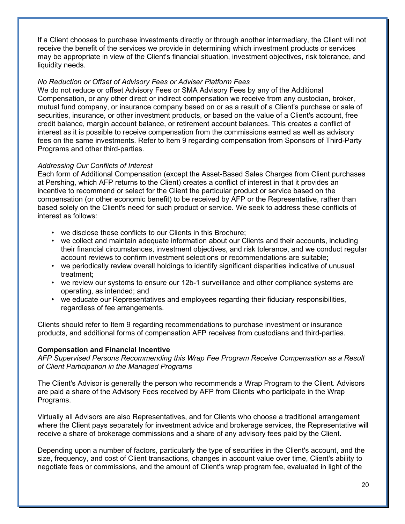If a Client chooses to purchase investments directly or through another intermediary, the Client will not receive the benefit of the services we provide in determining which investment products or services may be appropriate in view of the Client's financial situation, investment objectives, risk tolerance, and liquidity needs.

### *No Reduction or Offset of Advisory Fees or Adviser Platform Fees*

We do not reduce or offset Advisory Fees or SMA Advisory Fees by any of the Additional Compensation, or any other direct or indirect compensation we receive from any custodian, broker, mutual fund company, or insurance company based on or as a result of a Client's purchase or sale of securities, insurance, or other investment products, or based on the value of a Client's account, free credit balance, margin account balance, or retirement account balances. This creates a conflict of interest as it is possible to receive compensation from the commissions earned as well as advisory fees on the same investments. Refer to Item 9 regarding compensation from Sponsors of Third-Party Programs and other third-parties.

### *Addressing Our Conflicts of Interest*

Each form of Additional Compensation (except the Asset-Based Sales Charges from Client purchases at Pershing, which AFP returns to the Client) creates a conflict of interest in that it provides an incentive to recommend or select for the Client the particular product or service based on the compensation (or other economic benefit) to be received by AFP or the Representative, rather than based solely on the Client's need for such product or service. We seek to address these conflicts of interest as follows:

- we disclose these conflicts to our Clients in this Brochure;
- we collect and maintain adequate information about our Clients and their accounts, including their financial circumstances, investment objectives, and risk tolerance, and we conduct regular account reviews to confirm investment selections or recommendations are suitable;
- we periodically review overall holdings to identify significant disparities indicative of unusual treatment;
- we review our systems to ensure our 12b-1 surveillance and other compliance systems are operating, as intended; and
- we educate our Representatives and employees regarding their fiduciary responsibilities, regardless of fee arrangements.

Clients should refer to Item 9 regarding recommendations to purchase investment or insurance products, and additional forms of compensation AFP receives from custodians and third-parties.

### **Compensation and Financial Incentive**

*AFP Supervised Persons Recommending this Wrap Fee Program Receive Compensation as a Result of Client Participation in the Managed Programs*

The Client's Advisor is generally the person who recommends a Wrap Program to the Client. Advisors are paid a share of the Advisory Fees received by AFP from Clients who participate in the Wrap Programs.

Virtually all Advisors are also Representatives, and for Clients who choose a traditional arrangement where the Client pays separately for investment advice and brokerage services, the Representative will receive a share of brokerage commissions and a share of any advisory fees paid by the Client.

Depending upon a number of factors, particularly the type of securities in the Client's account, and the size, frequency, and cost of Client transactions, changes in account value over time, Client's ability to negotiate fees or commissions, and the amount of Client's wrap program fee, evaluated in light of the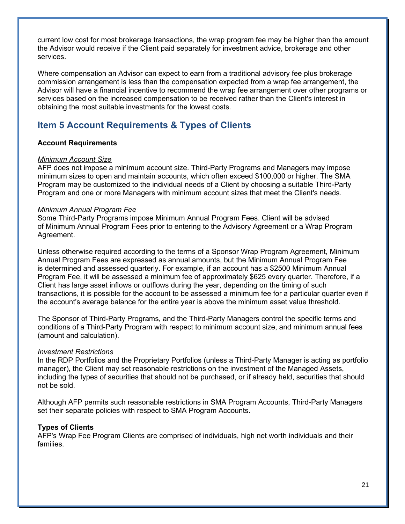current low cost for most brokerage transactions, the wrap program fee may be higher than the amount the Advisor would receive if the Client paid separately for investment advice, brokerage and other services.

Where compensation an Advisor can expect to earn from a traditional advisory fee plus brokerage commission arrangement is less than the compensation expected from a wrap fee arrangement, the Advisor will have a financial incentive to recommend the wrap fee arrangement over other programs or services based on the increased compensation to be received rather than the Client's interest in obtaining the most suitable investments for the lowest costs.

# **Item 5 Account Requirements & Types of Clients**

### **Account Requirements**

### *Minimum Account Size*

AFP does not impose a minimum account size. Third-Party Programs and Managers may impose minimum sizes to open and maintain accounts, which often exceed \$100,000 or higher. The SMA Program may be customized to the individual needs of a Client by choosing a suitable Third-Party Program and one or more Managers with minimum account sizes that meet the Client's needs.

### *Minimum Annual Program Fee*

Some Third-Party Programs impose Minimum Annual Program Fees. Client will be advised of Minimum Annual Program Fees prior to entering to the Advisory Agreement or a Wrap Program Agreement.

Unless otherwise required according to the terms of a Sponsor Wrap Program Agreement, Minimum Annual Program Fees are expressed as annual amounts, but the Minimum Annual Program Fee is determined and assessed quarterly. For example, if an account has a \$2500 Minimum Annual Program Fee, it will be assessed a minimum fee of approximately \$625 every quarter. Therefore, if a Client has large asset inflows or outflows during the year, depending on the timing of such transactions, it is possible for the account to be assessed a minimum fee for a particular quarter even if the account's average balance for the entire year is above the minimum asset value threshold.

The Sponsor of Third-Party Programs, and the Third-Party Managers control the specific terms and conditions of a Third-Party Program with respect to minimum account size, and minimum annual fees (amount and calculation).

### *Investment Restrictions*

In the RDP Portfolios and the Proprietary Portfolios (unless a Third-Party Manager is acting as portfolio manager), the Client may set reasonable restrictions on the investment of the Managed Assets, including the types of securities that should not be purchased, or if already held, securities that should not be sold.

Although AFP permits such reasonable restrictions in SMA Program Accounts, Third-Party Managers set their separate policies with respect to SMA Program Accounts.

### **Types of Clients**

AFP's Wrap Fee Program Clients are comprised of individuals, high net worth individuals and their families.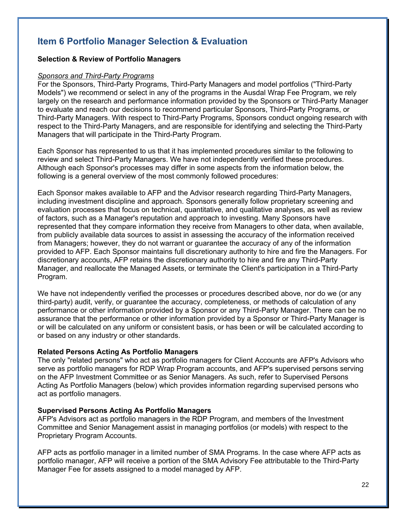# **Item 6 Portfolio Manager Selection & Evaluation**

### **Selection & Review of Portfolio Managers**

#### *Sponsors and Third-Party Programs*

For the Sponsors, Third-Party Programs, Third-Party Managers and model portfolios ("Third-Party Models") we recommend or select in any of the programs in the Ausdal Wrap Fee Program, we rely largely on the research and performance information provided by the Sponsors or Third-Party Manager to evaluate and reach our decisions to recommend particular Sponsors, Third-Party Programs, or Third-Party Managers. With respect to Third-Party Programs, Sponsors conduct ongoing research with respect to the Third-Party Managers, and are responsible for identifying and selecting the Third-Party Managers that will participate in the Third-Party Program.

Each Sponsor has represented to us that it has implemented procedures similar to the following to review and select Third-Party Managers. We have not independently verified these procedures. Although each Sponsor's processes may differ in some aspects from the information below, the following is a general overview of the most commonly followed procedures:

Each Sponsor makes available to AFP and the Advisor research regarding Third-Party Managers, including investment discipline and approach. Sponsors generally follow proprietary screening and evaluation processes that focus on technical, quantitative, and qualitative analyses, as well as review of factors, such as a Manager's reputation and approach to investing. Many Sponsors have represented that they compare information they receive from Managers to other data, when available, from publicly available data sources to assist in assessing the accuracy of the information received from Managers; however, they do not warrant or guarantee the accuracy of any of the information provided to AFP. Each Sponsor maintains full discretionary authority to hire and fire the Managers. For discretionary accounts, AFP retains the discretionary authority to hire and fire any Third-Party Manager, and reallocate the Managed Assets, or terminate the Client's participation in a Third-Party Program.

We have not independently verified the processes or procedures described above, nor do we (or any third-party) audit, verify, or guarantee the accuracy, completeness, or methods of calculation of any performance or other information provided by a Sponsor or any Third-Party Manager. There can be no assurance that the performance or other information provided by a Sponsor or Third-Party Manager is or will be calculated on any uniform or consistent basis, or has been or will be calculated according to or based on any industry or other standards.

### **Related Persons Acting As Portfolio Managers**

The only "related persons" who act as portfolio managers for Client Accounts are AFP's Advisors who serve as portfolio managers for RDP Wrap Program accounts, and AFP's supervised persons serving on the AFP Investment Committee or as Senior Managers. As such, refer to Supervised Persons Acting As Portfolio Managers (below) which provides information regarding supervised persons who act as portfolio managers.

### **Supervised Persons Acting As Portfolio Managers**

AFP's Advisors act as portfolio managers in the RDP Program, and members of the Investment Committee and Senior Management assist in managing portfolios (or models) with respect to the Proprietary Program Accounts.

AFP acts as portfolio manager in a limited number of SMA Programs. In the case where AFP acts as portfolio manager, AFP will receive a portion of the SMA Advisory Fee attributable to the Third-Party Manager Fee for assets assigned to a model managed by AFP.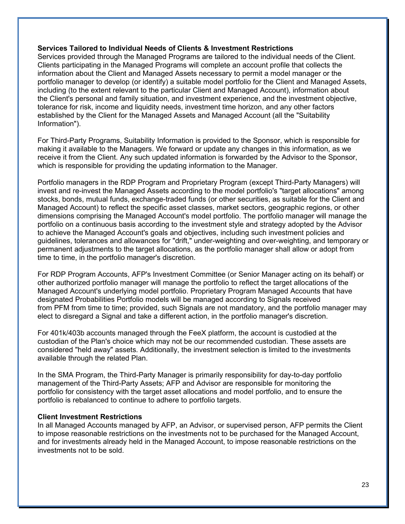### **Services Tailored to Individual Needs of Clients & Investment Restrictions**

Services provided through the Managed Programs are tailored to the individual needs of the Client. Clients participating in the Managed Programs will complete an account profile that collects the information about the Client and Managed Assets necessary to permit a model manager or the portfolio manager to develop (or identify) a suitable model portfolio for the Client and Managed Assets, including (to the extent relevant to the particular Client and Managed Account), information about the Client's personal and family situation, and investment experience, and the investment objective, tolerance for risk, income and liquidity needs, investment time horizon, and any other factors established by the Client for the Managed Assets and Managed Account (all the "Suitability Information").

For Third-Party Programs, Suitability Information is provided to the Sponsor, which is responsible for making it available to the Managers. We forward or update any changes in this information, as we receive it from the Client. Any such updated information is forwarded by the Advisor to the Sponsor, which is responsible for providing the updating information to the Manager.

Portfolio managers in the RDP Program and Proprietary Program (except Third-Party Managers) will invest and re-invest the Managed Assets according to the model portfolio's "target allocations" among stocks, bonds, mutual funds, exchange-traded funds (or other securities, as suitable for the Client and Managed Account) to reflect the specific asset classes, market sectors, geographic regions, or other dimensions comprising the Managed Account's model portfolio. The portfolio manager will manage the portfolio on a continuous basis according to the investment style and strategy adopted by the Advisor to achieve the Managed Account's goals and objectives, including such investment policies and guidelines, tolerances and allowances for "drift," under-weighting and over-weighting, and temporary or permanent adjustments to the target allocations, as the portfolio manager shall allow or adopt from time to time, in the portfolio manager's discretion.

For RDP Program Accounts, AFP's Investment Committee (or Senior Manager acting on its behalf) or other authorized portfolio manager will manage the portfolio to reflect the target allocations of the Managed Account's underlying model portfolio. Proprietary Program Managed Accounts that have designated Probabilities Portfolio models will be managed according to Signals received from PFM from time to time; provided, such Signals are not mandatory, and the portfolio manager may elect to disregard a Signal and take a different action, in the portfolio manager's discretion.

For 401k/403b accounts managed through the FeeX platform, the account is custodied at the custodian of the Plan's choice which may not be our recommended custodian. These assets are considered "held away" assets. Additionally, the investment selection is limited to the investments available through the related Plan.

In the SMA Program, the Third-Party Manager is primarily responsibility for day-to-day portfolio management of the Third-Party Assets; AFP and Advisor are responsible for monitoring the portfolio for consistency with the target asset allocations and model portfolio, and to ensure the portfolio is rebalanced to continue to adhere to portfolio targets.

### **Client Investment Restrictions**

In all Managed Accounts managed by AFP, an Advisor, or supervised person, AFP permits the Client to impose reasonable restrictions on the investments not to be purchased for the Managed Account, and for investments already held in the Managed Account, to impose reasonable restrictions on the investments not to be sold.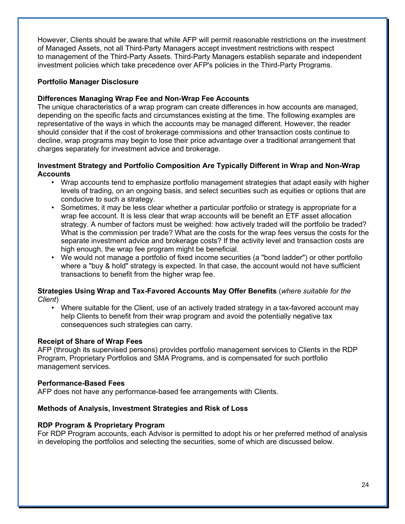However, Clients should be aware that while AFP will permit reasonable restrictions on the investment of Managed Assets, not all Third-Party Managers accept investment restrictions with respect to management of the Third-Party Assets. Third-Party Managers establish separate and independent investment policies which take precedence over AFP's policies in the Third-Party Programs.

### **Portfolio Manager Disclosure**

### **Differences Managing Wrap Fee and Non-Wrap Fee Accounts**

The unique characteristics of a wrap program can create differences in how accounts are managed, depending on the specific facts and circumstances existing at the time. The following examples are representative of the ways in which the accounts may be managed different. However, the reader should consider that if the cost of brokerage commissions and other transaction costs continue to decline, wrap programs may begin to lose their price advantage over a traditional arrangement that charges separately for investment advice and brokerage.

### **Investment Strategy and Portfolio Composition Are Typically Different in Wrap and Non-Wrap Accounts**

- Wrap accounts tend to emphasize portfolio management strategies that adapt easily with higher levels of trading, on an ongoing basis, and select securities such as equities or options that are conducive to such a strategy.
- Sometimes, it may be less clear whether a particular portfolio or strategy is appropriate for a wrap fee account. It is less clear that wrap accounts will be benefit an ETF asset allocation strategy. A number of factors must be weighed: how actively traded will the portfolio be traded? What is the commission per trade? What are the costs for the wrap fees versus the costs for the separate investment advice and brokerage costs? If the activity level and transaction costs are high enough, the wrap fee program might be beneficial.
- We would not manage a portfolio of fixed income securities (a "bond ladder") or other portfolio where a "buy & hold" strategy is expected. In that case, the account would not have sufficient transactions to benefit from the higher wrap fee.

### **Strategies Using Wrap and Tax-Favored Accounts May Offer Benefits** (*where suitable for the Client*)

• Where suitable for the Client, use of an actively traded strategy in a tax-favored account may help Clients to benefit from their wrap program and avoid the potentially negative tax consequences such strategies can carry.

### **Receipt of Share of Wrap Fees**

AFP (through its supervised persons) provides portfolio management services to Clients in the RDP Program, Proprietary Portfolios and SMA Programs, and is compensated for such portfolio management services.

### **Performance-Based Fees**

AFP does not have any performance-based fee arrangements with Clients.

### **Methods of Analysis, Investment Strategies and Risk of Loss**

### **RDP Program & Proprietary Program**

For RDP Program accounts, each Advisor is permitted to adopt his or her preferred method of analysis in developing the portfolios and selecting the securities, some of which are discussed below.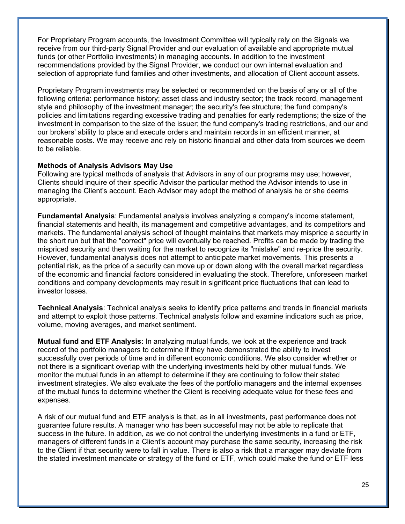For Proprietary Program accounts, the Investment Committee will typically rely on the Signals we receive from our third-party Signal Provider and our evaluation of available and appropriate mutual funds (or other Portfolio investments) in managing accounts. In addition to the investment recommendations provided by the Signal Provider, we conduct our own internal evaluation and selection of appropriate fund families and other investments, and allocation of Client account assets.

Proprietary Program investments may be selected or recommended on the basis of any or all of the following criteria: performance history; asset class and industry sector; the track record, management style and philosophy of the investment manager; the security's fee structure; the fund company's policies and limitations regarding excessive trading and penalties for early redemptions; the size of the investment in comparison to the size of the issuer; the fund company's trading restrictions, and our and our brokers' ability to place and execute orders and maintain records in an efficient manner, at reasonable costs. We may receive and rely on historic financial and other data from sources we deem to be reliable.

### **Methods of Analysis Advisors May Use**

Following are typical methods of analysis that Advisors in any of our programs may use; however, Clients should inquire of their specific Advisor the particular method the Advisor intends to use in managing the Client's account. Each Advisor may adopt the method of analysis he or she deems appropriate.

**Fundamental Analysis**: Fundamental analysis involves analyzing a company's income statement, financial statements and health, its management and competitive advantages, and its competitors and markets. The fundamental analysis school of thought maintains that markets may misprice a security in the short run but that the "correct" price will eventually be reached. Profits can be made by trading the mispriced security and then waiting for the market to recognize its "mistake" and re-price the security. However, fundamental analysis does not attempt to anticipate market movements. This presents a potential risk, as the price of a security can move up or down along with the overall market regardless of the economic and financial factors considered in evaluating the stock. Therefore, unforeseen market conditions and company developments may result in significant price fluctuations that can lead to investor losses.

**Technical Analysis**: Technical analysis seeks to identify price patterns and trends in financial markets and attempt to exploit those patterns. Technical analysts follow and examine indicators such as price, volume, moving averages, and market sentiment.

**Mutual fund and ETF Analysis**: In analyzing mutual funds, we look at the experience and track record of the portfolio managers to determine if they have demonstrated the ability to invest successfully over periods of time and in different economic conditions. We also consider whether or not there is a significant overlap with the underlying investments held by other mutual funds. We monitor the mutual funds in an attempt to determine if they are continuing to follow their stated investment strategies. We also evaluate the fees of the portfolio managers and the internal expenses of the mutual funds to determine whether the Client is receiving adequate value for these fees and expenses.

A risk of our mutual fund and ETF analysis is that, as in all investments, past performance does not guarantee future results. A manager who has been successful may not be able to replicate that success in the future. In addition, as we do not control the underlying investments in a fund or ETF, managers of different funds in a Client's account may purchase the same security, increasing the risk to the Client if that security were to fall in value. There is also a risk that a manager may deviate from the stated investment mandate or strategy of the fund or ETF, which could make the fund or ETF less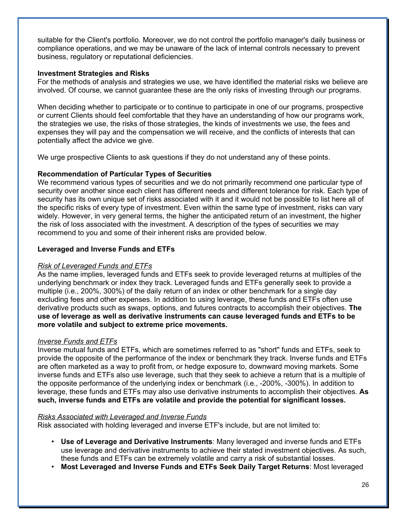suitable for the Client's portfolio. Moreover, we do not control the portfolio manager's daily business or compliance operations, and we may be unaware of the lack of internal controls necessary to prevent business, regulatory or reputational deficiencies.

### **Investment Strategies and Risks**

For the methods of analysis and strategies we use, we have identified the material risks we believe are involved. Of course, we cannot guarantee these are the only risks of investing through our programs.

When deciding whether to participate or to continue to participate in one of our programs, prospective or current Clients should feel comfortable that they have an understanding of how our programs work, the strategies we use, the risks of those strategies, the kinds of investments we use, the fees and expenses they will pay and the compensation we will receive, and the conflicts of interests that can potentially affect the advice we give.

We urge prospective Clients to ask questions if they do not understand any of these points.

### **Recommendation of Particular Types of Securities**

We recommend various types of securities and we do not primarily recommend one particular type of security over another since each client has different needs and different tolerance for risk. Each type of security has its own unique set of risks associated with it and it would not be possible to list here all of the specific risks of every type of investment. Even within the same type of investment, risks can vary widely. However, in very general terms, the higher the anticipated return of an investment, the higher the risk of loss associated with the investment. A description of the types of securities we may recommend to you and some of their inherent risks are provided below.

### **Leveraged and Inverse Funds and ETFs**

#### *Risk of Leveraged Funds and ETFs*

As the name implies, leveraged funds and ETFs seek to provide leveraged returns at multiples of the underlying benchmark or index they track. Leveraged funds and ETFs generally seek to provide a multiple (i.e., 200%, 300%) of the daily return of an index or other benchmark for a single day excluding fees and other expenses. In addition to using leverage, these funds and ETFs often use derivative products such as swaps, options, and futures contracts to accomplish their objectives. **The use of leverage as well as derivative instruments can cause leveraged funds and ETFs to be more volatile and subject to extreme price movements.**

#### *Inverse Funds and ETFs*

Inverse mutual funds and ETFs, which are sometimes referred to as "short" funds and ETFs, seek to provide the opposite of the performance of the index or benchmark they track. Inverse funds and ETFs are often marketed as a way to profit from, or hedge exposure to, downward moving markets. Some inverse funds and ETFs also use leverage, such that they seek to achieve a return that is a multiple of the opposite performance of the underlying index or benchmark (i.e., -200%, -300%). In addition to leverage, these funds and ETFs may also use derivative instruments to accomplish their objectives. **As such, inverse funds and ETFs are volatile and provide the potential for significant losses.**

#### *Risks Associated with Leveraged and Inverse Funds*

Risk associated with holding leveraged and inverse ETF's include, but are not limited to:

- **Use of Leverage and Derivative Instruments**: Many leveraged and inverse funds and ETFs use leverage and derivative instruments to achieve their stated investment objectives. As such, these funds and ETFs can be extremely volatile and carry a risk of substantial losses.
- **Most Leveraged and Inverse Funds and ETFs Seek Daily Target Returns**: Most leveraged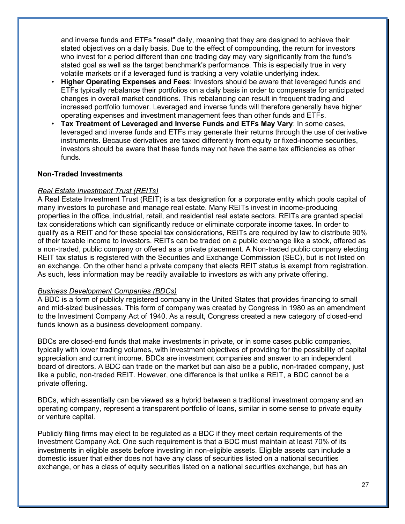and inverse funds and ETFs "reset" daily, meaning that they are designed to achieve their stated objectives on a daily basis. Due to the effect of compounding, the return for investors who invest for a period different than one trading day may vary significantly from the fund's stated goal as well as the target benchmark's performance. This is especially true in very volatile markets or if a leveraged fund is tracking a very volatile underlying index.

- **Higher Operating Expenses and Fees**: Investors should be aware that leveraged funds and ETFs typically rebalance their portfolios on a daily basis in order to compensate for anticipated changes in overall market conditions. This rebalancing can result in frequent trading and increased portfolio turnover. Leveraged and inverse funds will therefore generally have higher operating expenses and investment management fees than other funds and ETFs.
- **Tax Treatment of Leveraged and Inverse Funds and ETFs May Vary**: In some cases, leveraged and inverse funds and ETFs may generate their returns through the use of derivative instruments. Because derivatives are taxed differently from equity or fixed-income securities, investors should be aware that these funds may not have the same tax efficiencies as other funds.

### **Non-Traded Investments**

### *Real Estate Investment Trust (REITs)*

A Real Estate Investment Trust (REIT) is a tax designation for a corporate entity which pools capital of many investors to purchase and manage real estate. Many REITs invest in income-producing properties in the office, industrial, retail, and residential real estate sectors. REITs are granted special tax considerations which can significantly reduce or eliminate corporate income taxes. In order to qualify as a REIT and for these special tax considerations, REITs are required by law to distribute 90% of their taxable income to investors. REITs can be traded on a public exchange like a stock, offered as a non-traded, public company or offered as a private placement. A Non-traded public company electing REIT tax status is registered with the Securities and Exchange Commission (SEC), but is not listed on an exchange. On the other hand a private company that elects REIT status is exempt from registration. As such, less information may be readily available to investors as with any private offering.

### *Business Development Companies (BDCs)*

A BDC is a form of publicly registered company in the United States that provides financing to small and mid-sized businesses. This form of company was created by Congress in 1980 as an amendment to the Investment Company Act of 1940. As a result, Congress created a new category of closed-end funds known as a business development company.

BDCs are closed-end funds that make investments in private, or in some cases public companies, typically with lower trading volumes, with investment objectives of providing for the possibility of capital appreciation and current income. BDCs are investment companies and answer to an independent board of directors. A BDC can trade on the market but can also be a public, non-traded company, just like a public, non-traded REIT. However, one difference is that unlike a REIT, a BDC cannot be a private offering.

BDCs, which essentially can be viewed as a hybrid between a traditional investment company and an operating company, represent a transparent portfolio of loans, similar in some sense to private equity or venture capital.

Publicly filing firms may elect to be regulated as a BDC if they meet certain requirements of the Investment Company Act. One such requirement is that a BDC must maintain at least 70% of its investments in eligible assets before investing in non-eligible assets. Eligible assets can include a domestic issuer that either does not have any class of securities listed on a national securities exchange, or has a class of equity securities listed on a national securities exchange, but has an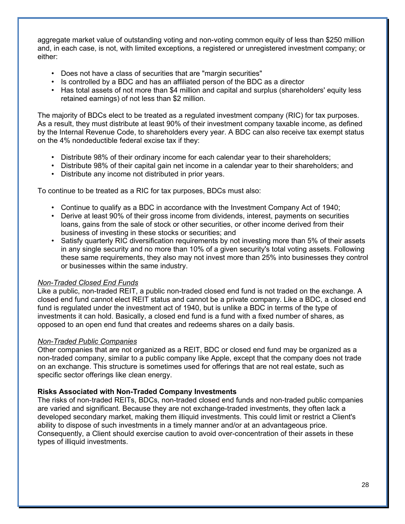aggregate market value of outstanding voting and non-voting common equity of less than \$250 million and, in each case, is not, with limited exceptions, a registered or unregistered investment company; or either:

- Does not have a class of securities that are "margin securities"
- Is controlled by a BDC and has an affiliated person of the BDC as a director
- Has total assets of not more than \$4 million and capital and surplus (shareholders' equity less retained earnings) of not less than \$2 million.

The majority of BDCs elect to be treated as a regulated investment company (RIC) for tax purposes. As a result, they must distribute at least 90% of their investment company taxable income, as defined by the Internal Revenue Code, to shareholders every year. A BDC can also receive tax exempt status on the 4% nondeductible federal excise tax if they:

- Distribute 98% of their ordinary income for each calendar year to their shareholders;
- Distribute 98% of their capital gain net income in a calendar year to their shareholders; and
- Distribute any income not distributed in prior years.

To continue to be treated as a RIC for tax purposes, BDCs must also:

- Continue to qualify as a BDC in accordance with the Investment Company Act of 1940;
- Derive at least 90% of their gross income from dividends, interest, payments on securities loans, gains from the sale of stock or other securities, or other income derived from their business of investing in these stocks or securities; and
- Satisfy quarterly RIC diversification requirements by not investing more than 5% of their assets in any single security and no more than 10% of a given security's total voting assets. Following these same requirements, they also may not invest more than 25% into businesses they control or businesses within the same industry.

### *Non-Traded Closed End Funds*

Like a public, non-traded REIT, a public non-traded closed end fund is not traded on the exchange. A closed end fund cannot elect REIT status and cannot be a private company. Like a BDC, a closed end fund is regulated under the investment act of 1940, but is unlike a BDC in terms of the type of investments it can hold. Basically, a closed end fund is a fund with a fixed number of shares, as opposed to an open end fund that creates and redeems shares on a daily basis.

### *Non-Traded Public Companies*

Other companies that are not organized as a REIT, BDC or closed end fund may be organized as a non-traded company, similar to a public company like Apple, except that the company does not trade on an exchange. This structure is sometimes used for offerings that are not real estate, such as specific sector offerings like clean energy.

### **Risks Associated with Non-Traded Company Investments**

The risks of non-traded REITs, BDCs, non-traded closed end funds and non-traded public companies are varied and significant. Because they are not exchange-traded investments, they often lack a developed secondary market, making them illiquid investments. This could limit or restrict a Client's ability to dispose of such investments in a timely manner and/or at an advantageous price. Consequently, a Client should exercise caution to avoid over-concentration of their assets in these types of illiquid investments.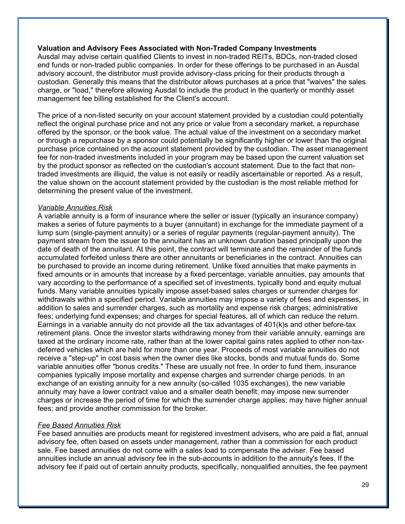### **Valuation and Advisory Fees Associated with Non-Traded Company Investments**

Ausdal may advise certain qualified Clients to invest in non-traded REITs, BDCs, non-traded closed end funds or non-traded public companies. In order for these offerings to be purchased in an Ausdal advisory account, the distributor must provide advisory-class pricing for their products through a custodian. Generally this means that the distributor allows purchases at a price that "waives" the sales charge, or "load," therefore allowing Ausdal to include the product in the quarterly or monthly asset management fee billing established for the Client's account.

The price of a non-listed security on your account statement provided by a custodian could potentially reflect the original purchase price and not any price or value from a secondary market, a repurchase offered by the sponsor, or the book value. The actual value of the investment on a secondary market or through a repurchase by a sponsor could potentially be significantly higher or lower than the original purchase price contained on the account statement provided by the custodian. The asset management fee for non-traded investments included in your program may be based upon the current valuation set by the product sponsor as reflected on the custodian's account statement. Due to the fact that nontraded investments are illiquid, the value is not easily or readily ascertainable or reported. As a result, the value shown on the account statement provided by the custodian is the most reliable method for determining the present value of the investment.

### *Variable Annuities Risk*

A variable annuity is a form of insurance where the seller or issuer (typically an insurance company) makes a series of future payments to a buyer (annuitant) in exchange for the immediate payment of a lump sum (single-payment annuity) or a series of regular payments (regular-payment annuity). The payment stream from the issuer to the annuitant has an unknown duration based principally upon the date of death of the annuitant. At this point, the contract will terminate and the remainder of the funds accumulated forfeited unless there are other annuitants or beneficiaries in the contract. Annuities can be purchased to provide an income during retirement. Unlike fixed annuities that make payments in fixed amounts or in amounts that increase by a fixed percentage, variable annuities, pay amounts that vary according to the performance of a specified set of investments, typically bond and equity mutual funds. Many variable annuities typically impose asset-based sales charges or surrender charges for withdrawals within a specified period. Variable annuities may impose a variety of fees and expenses, in addition to sales and surrender charges, such as mortality and expense risk charges; administrative fees; underlying fund expenses; and charges for special features, all of which can reduce the return. Earnings in a variable annuity do not provide all the tax advantages of 401(k)s and other before-tax retirement plans. Once the investor starts withdrawing money from their variable annuity, earnings are taxed at the ordinary income rate, rather than at the lower capital gains rates applied to other non-taxdeferred vehicles which are held for more than one year. Proceeds of most variable annuities do not receive a "step-up" in cost basis when the owner dies like stocks, bonds and mutual funds do. Some variable annuities offer "bonus credits." These are usually not free. In order to fund them, insurance companies typically impose mortality and expense charges and surrender charge periods. In an exchange of an existing annuity for a new annuity (so-called 1035 exchanges), the new variable annuity may have a lower contract value and a smaller death benefit; may impose new surrender charges or increase the period of time for which the surrender charge applies; may have higher annual fees; and provide another commission for the broker.

### *Fee Based Annuities Risk*

Fee based annuities are products meant for registered investment advisers, who are paid a flat, annual advisory fee, often based on assets under management, rather than a commission for each product sale. Fee based annuities do not come with a sales load to compensate the adviser. Fee based annuities include an annual advisory fee in the sub-accounts in addition to the annuity's fees. If the advisory fee if paid out of certain annuity products, specifically, nonqualified annuities, the fee payment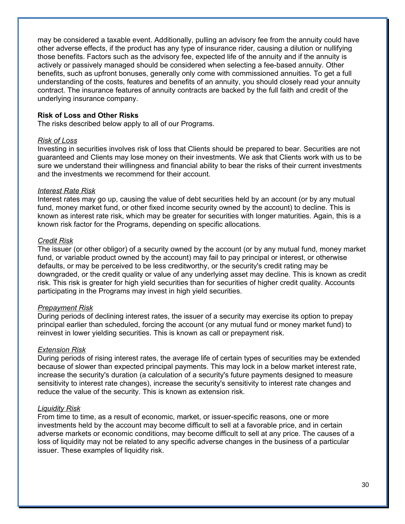may be considered a taxable event. Additionally, pulling an advisory fee from the annuity could have other adverse effects, if the product has any type of insurance rider, causing a dilution or nullifying those benefits. Factors such as the advisory fee, expected life of the annuity and if the annuity is actively or passively managed should be considered when selecting a fee-based annuity. Other benefits, such as upfront bonuses, generally only come with commissioned annuities. To get a full understanding of the costs, features and benefits of an annuity, you should closely read your annuity contract. The insurance features of annuity contracts are backed by the full faith and credit of the underlying insurance company.

### **Risk of Loss and Other Risks**

The risks described below apply to all of our Programs.

#### *Risk of Loss*

Investing in securities involves risk of loss that Clients should be prepared to bear. Securities are not guaranteed and Clients may lose money on their investments. We ask that Clients work with us to be sure we understand their willingness and financial ability to bear the risks of their current investments and the investments we recommend for their account.

#### *Interest Rate Risk*

Interest rates may go up, causing the value of debt securities held by an account (or by any mutual fund, money market fund, or other fixed income security owned by the account) to decline. This is known as interest rate risk, which may be greater for securities with longer maturities. Again, this is a known risk factor for the Programs, depending on specific allocations.

#### *Credit Risk*

The issuer (or other obligor) of a security owned by the account (or by any mutual fund, money market fund, or variable product owned by the account) may fail to pay principal or interest, or otherwise defaults, or may be perceived to be less creditworthy, or the security's credit rating may be downgraded, or the credit quality or value of any underlying asset may decline. This is known as credit risk. This risk is greater for high yield securities than for securities of higher credit quality. Accounts participating in the Programs may invest in high yield securities.

#### *Prepayment Risk*

During periods of declining interest rates, the issuer of a security may exercise its option to prepay principal earlier than scheduled, forcing the account (or any mutual fund or money market fund) to reinvest in lower yielding securities. This is known as call or prepayment risk.

#### *Extension Risk*

During periods of rising interest rates, the average life of certain types of securities may be extended because of slower than expected principal payments. This may lock in a below market interest rate, increase the security's duration (a calculation of a security's future payments designed to measure sensitivity to interest rate changes), increase the security's sensitivity to interest rate changes and reduce the value of the security. This is known as extension risk.

#### *Liquidity Risk*

From time to time, as a result of economic, market, or issuer-specific reasons, one or more investments held by the account may become difficult to sell at a favorable price, and in certain adverse markets or economic conditions, may become difficult to sell at any price. The causes of a loss of liquidity may not be related to any specific adverse changes in the business of a particular issuer. These examples of liquidity risk.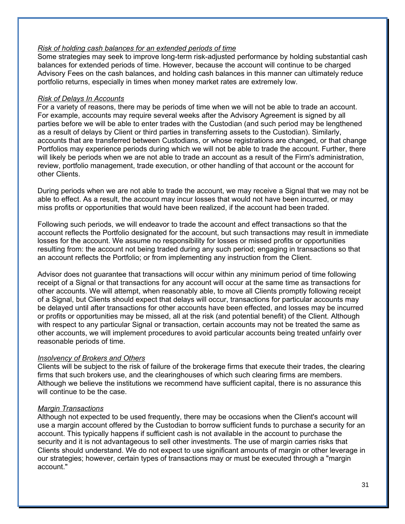### *Risk of holding cash balances for an extended periods of time*

Some strategies may seek to improve long-term risk-adjusted performance by holding substantial cash balances for extended periods of time. However, because the account will continue to be charged Advisory Fees on the cash balances, and holding cash balances in this manner can ultimately reduce portfolio returns, especially in times when money market rates are extremely low.

### *Risk of Delays In Accounts*

For a variety of reasons, there may be periods of time when we will not be able to trade an account. For example, accounts may require several weeks after the Advisory Agreement is signed by all parties before we will be able to enter trades with the Custodian (and such period may be lengthened as a result of delays by Client or third parties in transferring assets to the Custodian). Similarly, accounts that are transferred between Custodians, or whose registrations are changed, or that change Portfolios may experience periods during which we will not be able to trade the account. Further, there will likely be periods when we are not able to trade an account as a result of the Firm's administration, review, portfolio management, trade execution, or other handling of that account or the account for other Clients.

During periods when we are not able to trade the account, we may receive a Signal that we may not be able to effect. As a result, the account may incur losses that would not have been incurred, or may miss profits or opportunities that would have been realized, if the account had been traded.

Following such periods, we will endeavor to trade the account and effect transactions so that the account reflects the Portfolio designated for the account, but such transactions may result in immediate losses for the account. We assume no responsibility for losses or missed profits or opportunities resulting from: the account not being traded during any such period; engaging in transactions so that an account reflects the Portfolio; or from implementing any instruction from the Client.

Advisor does not guarantee that transactions will occur within any minimum period of time following receipt of a Signal or that transactions for any account will occur at the same time as transactions for other accounts. We will attempt, when reasonably able, to move all Clients promptly following receipt of a Signal, but Clients should expect that delays will occur, transactions for particular accounts may be delayed until after transactions for other accounts have been effected, and losses may be incurred or profits or opportunities may be missed, all at the risk (and potential benefit) of the Client. Although with respect to any particular Signal or transaction, certain accounts may not be treated the same as other accounts, we will implement procedures to avoid particular accounts being treated unfairly over reasonable periods of time.

### *Insolvency of Brokers and Others*

Clients will be subject to the risk of failure of the brokerage firms that execute their trades, the clearing firms that such brokers use, and the clearinghouses of which such clearing firms are members. Although we believe the institutions we recommend have sufficient capital, there is no assurance this will continue to be the case.

### *Margin Transactions*

Although not expected to be used frequently, there may be occasions when the Client's account will use a margin account offered by the Custodian to borrow sufficient funds to purchase a security for an account. This typically happens if sufficient cash is not available in the account to purchase the security and it is not advantageous to sell other investments. The use of margin carries risks that Clients should understand. We do not expect to use significant amounts of margin or other leverage in our strategies; however, certain types of transactions may or must be executed through a "margin account."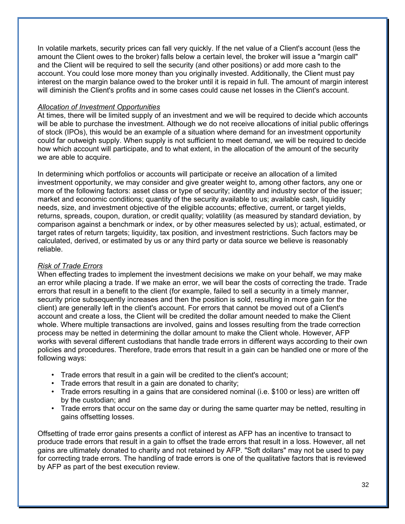In volatile markets, security prices can fall very quickly. If the net value of a Client's account (less the amount the Client owes to the broker) falls below a certain level, the broker will issue a "margin call" and the Client will be required to sell the security (and other positions) or add more cash to the account. You could lose more money than you originally invested. Additionally, the Client must pay interest on the margin balance owed to the broker until it is repaid in full. The amount of margin interest will diminish the Client's profits and in some cases could cause net losses in the Client's account.

### *Allocation of Investment Opportunities*

At times, there will be limited supply of an investment and we will be required to decide which accounts will be able to purchase the investment. Although we do not receive allocations of initial public offerings of stock (IPOs), this would be an example of a situation where demand for an investment opportunity could far outweigh supply. When supply is not sufficient to meet demand, we will be required to decide how which account will participate, and to what extent, in the allocation of the amount of the security we are able to acquire.

In determining which portfolios or accounts will participate or receive an allocation of a limited investment opportunity, we may consider and give greater weight to, among other factors, any one or more of the following factors: asset class or type of security; identity and industry sector of the issuer; market and economic conditions; quantity of the security available to us; available cash, liquidity needs, size, and investment objective of the eligible accounts; effective, current, or target yields, returns, spreads, coupon, duration, or credit quality; volatility (as measured by standard deviation, by comparison against a benchmark or index, or by other measures selected by us); actual, estimated, or target rates of return targets; liquidity, tax position, and investment restrictions. Such factors may be calculated, derived, or estimated by us or any third party or data source we believe is reasonably reliable.

### *Risk of Trade Errors*

When effecting trades to implement the investment decisions we make on your behalf, we may make an error while placing a trade. If we make an error, we will bear the costs of correcting the trade. Trade errors that result in a benefit to the client (for example, failed to sell a security in a timely manner, security price subsequently increases and then the position is sold, resulting in more gain for the client) are generally left in the client's account. For errors that cannot be moved out of a Client's account and create a loss, the Client will be credited the dollar amount needed to make the Client whole. Where multiple transactions are involved, gains and losses resulting from the trade correction process may be netted in determining the dollar amount to make the Client whole. However, AFP works with several different custodians that handle trade errors in different ways according to their own policies and procedures. Therefore, trade errors that result in a gain can be handled one or more of the following ways:

- Trade errors that result in a gain will be credited to the client's account;
- Trade errors that result in a gain are donated to charity;
- Trade errors resulting in a gains that are considered nominal (i.e. \$100 or less) are written off by the custodian; and
- Trade errors that occur on the same day or during the same quarter may be netted, resulting in gains offsetting losses.

Offsetting of trade error gains presents a conflict of interest as AFP has an incentive to transact to produce trade errors that result in a gain to offset the trade errors that result in a loss. However, all net gains are ultimately donated to charity and not retained by AFP. "Soft dollars" may not be used to pay for correcting trade errors. The handling of trade errors is one of the qualitative factors that is reviewed by AFP as part of the best execution review.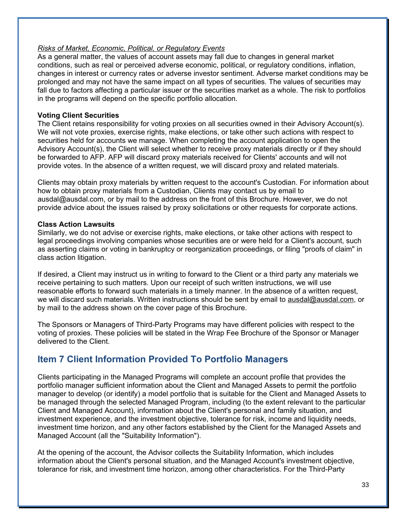### *Risks of Market, Economic, Political, or Regulatory Events*

As a general matter, the values of account assets may fall due to changes in general market conditions, such as real or perceived adverse economic, political, or regulatory conditions, inflation, changes in interest or currency rates or adverse investor sentiment. Adverse market conditions may be prolonged and may not have the same impact on all types of securities. The values of securities may fall due to factors affecting a particular issuer or the securities market as a whole. The risk to portfolios in the programs will depend on the specific portfolio allocation.

### **Voting Client Securities**

The Client retains responsibility for voting proxies on all securities owned in their Advisory Account(s). We will not vote proxies, exercise rights, make elections, or take other such actions with respect to securities held for accounts we manage. When completing the account application to open the Advisory Account(s), the Client will select whether to receive proxy materials directly or if they should be forwarded to AFP. AFP will discard proxy materials received for Clients' accounts and will not provide votes. In the absence of a written request, we will discard proxy and related materials.

Clients may obtain proxy materials by written request to the account's Custodian. For information about how to obtain proxy materials from a Custodian, Clients may contact us by email to ausdal@ausdal.com, or by mail to the address on the front of this Brochure. However, we do not provide advice about the issues raised by proxy solicitations or other requests for corporate actions.

### **Class Action Lawsuits**

Similarly, we do not advise or exercise rights, make elections, or take other actions with respect to legal proceedings involving companies whose securities are or were held for a Client's account, such as asserting claims or voting in bankruptcy or reorganization proceedings, or filing "proofs of claim" in class action litigation.

If desired, a Client may instruct us in writing to forward to the Client or a third party any materials we receive pertaining to such matters. Upon our receipt of such written instructions, we will use reasonable efforts to forward such materials in a timely manner. In the absence of a written request, we will discard such materials. Written instructions should be sent by email to ausdal@ausdal.com, or by mail to the address shown on the cover page of this Brochure.

The Sponsors or Managers of Third-Party Programs may have different policies with respect to the voting of proxies. These policies will be stated in the Wrap Fee Brochure of the Sponsor or Manager delivered to the Client.

## **Item 7 Client Information Provided To Portfolio Managers**

Clients participating in the Managed Programs will complete an account profile that provides the portfolio manager sufficient information about the Client and Managed Assets to permit the portfolio manager to develop (or identify) a model portfolio that is suitable for the Client and Managed Assets to be managed through the selected Managed Program, including (to the extent relevant to the particular Client and Managed Account), information about the Client's personal and family situation, and investment experience, and the investment objective, tolerance for risk, income and liquidity needs, investment time horizon, and any other factors established by the Client for the Managed Assets and Managed Account (all the "Suitability Information").

At the opening of the account, the Advisor collects the Suitability Information, which includes information about the Client's personal situation, and the Managed Account's investment objective, tolerance for risk, and investment time horizon, among other characteristics. For the Third-Party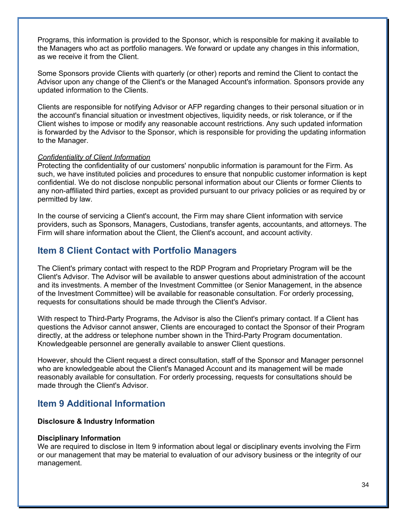Programs, this information is provided to the Sponsor, which is responsible for making it available to the Managers who act as portfolio managers. We forward or update any changes in this information, as we receive it from the Client.

Some Sponsors provide Clients with quarterly (or other) reports and remind the Client to contact the Advisor upon any change of the Client's or the Managed Account's information. Sponsors provide any updated information to the Clients.

Clients are responsible for notifying Advisor or AFP regarding changes to their personal situation or in the account's financial situation or investment objectives, liquidity needs, or risk tolerance, or if the Client wishes to impose or modify any reasonable account restrictions. Any such updated information is forwarded by the Advisor to the Sponsor, which is responsible for providing the updating information to the Manager.

### *Confidentiality of Client Information*

Protecting the confidentiality of our customers' nonpublic information is paramount for the Firm. As such, we have instituted policies and procedures to ensure that nonpublic customer information is kept confidential. We do not disclose nonpublic personal information about our Clients or former Clients to any non-affiliated third parties, except as provided pursuant to our privacy policies or as required by or permitted by law.

In the course of servicing a Client's account, the Firm may share Client information with service providers, such as Sponsors, Managers, Custodians, transfer agents, accountants, and attorneys. The Firm will share information about the Client, the Client's account, and account activity.

### **Item 8 Client Contact with Portfolio Managers**

The Client's primary contact with respect to the RDP Program and Proprietary Program will be the Client's Advisor. The Advisor will be available to answer questions about administration of the account and its investments. A member of the Investment Committee (or Senior Management, in the absence of the Investment Committee) will be available for reasonable consultation. For orderly processing, requests for consultations should be made through the Client's Advisor.

With respect to Third-Party Programs, the Advisor is also the Client's primary contact. If a Client has questions the Advisor cannot answer, Clients are encouraged to contact the Sponsor of their Program directly, at the address or telephone number shown in the Third-Party Program documentation. Knowledgeable personnel are generally available to answer Client questions.

However, should the Client request a direct consultation, staff of the Sponsor and Manager personnel who are knowledgeable about the Client's Managed Account and its management will be made reasonably available for consultation. For orderly processing, requests for consultations should be made through the Client's Advisor.

## **Item 9 Additional Information**

#### **Disclosure & Industry Information**

#### **Disciplinary Information**

We are required to disclose in Item 9 information about legal or disciplinary events involving the Firm or our management that may be material to evaluation of our advisory business or the integrity of our management.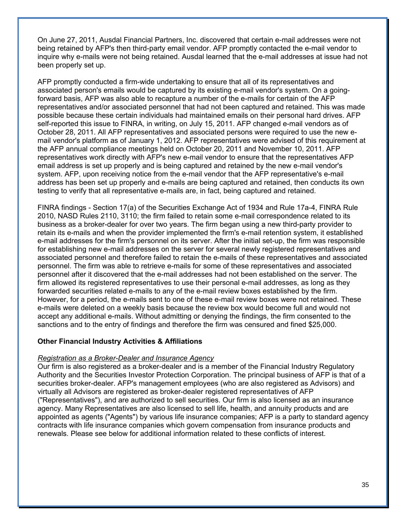On June 27, 2011, Ausdal Financial Partners, Inc. discovered that certain e-mail addresses were not being retained by AFP's then third-party email vendor. AFP promptly contacted the e-mail vendor to inquire why e-mails were not being retained. Ausdal learned that the e-mail addresses at issue had not been properly set up.

AFP promptly conducted a firm-wide undertaking to ensure that all of its representatives and associated person's emails would be captured by its existing e-mail vendor's system. On a goingforward basis, AFP was also able to recapture a number of the e-mails for certain of the AFP representatives and/or associated personnel that had not been captured and retained. This was made possible because these certain individuals had maintained emails on their personal hard drives. AFP self-reported this issue to FINRA, in writing, on July 15, 2011. AFP changed e-mail vendors as of October 28, 2011. All AFP representatives and associated persons were required to use the new email vendor's platform as of January 1, 2012. AFP representatives were advised of this requirement at the AFP annual compliance meetings held on October 20, 2011 and November 10, 2011. AFP representatives work directly with AFP's new e-mail vendor to ensure that the representatives AFP email address is set up properly and is being captured and retained by the new e-mail vendor's system. AFP, upon receiving notice from the e-mail vendor that the AFP representative's e-mail address has been set up properly and e-mails are being captured and retained, then conducts its own testing to verify that all representative e-mails are, in fact, being captured and retained.

FINRA findings - Section 17(a) of the Securities Exchange Act of 1934 and Rule 17a-4, FINRA Rule 2010, NASD Rules 2110, 3110; the firm failed to retain some e-mail correspondence related to its business as a broker-dealer for over two years. The firm began using a new third-party provider to retain its e-mails and when the provider implemented the firm's e-mail retention system, it established e-mail addresses for the firm's personnel on its server. After the initial set-up, the firm was responsible for establishing new e-mail addresses on the server for several newly registered representatives and associated personnel and therefore failed to retain the e-mails of these representatives and associated personnel. The firm was able to retrieve e-mails for some of these representatives and associated personnel after it discovered that the e-mail addresses had not been established on the server. The firm allowed its registered representatives to use their personal e-mail addresses, as long as they forwarded securities related e-mails to any of the e-mail review boxes established by the firm. However, for a period, the e-mails sent to one of these e-mail review boxes were not retained. These e-mails were deleted on a weekly basis because the review box would become full and would not accept any additional e-mails. Without admitting or denying the findings, the firm consented to the sanctions and to the entry of findings and therefore the firm was censured and fined \$25,000.

### **Other Financial Industry Activities & Affiliations**

### *Registration as a Broker-Dealer and Insurance Agency*

Our firm is also registered as a broker-dealer and is a member of the Financial Industry Regulatory Authority and the Securities Investor Protection Corporation. The principal business of AFP is that of a securities broker-dealer. AFP's management employees (who are also registered as Advisors) and virtually all Advisors are registered as broker-dealer registered representatives of AFP ("Representatives"), and are authorized to sell securities. Our firm is also licensed as an insurance agency. Many Representatives are also licensed to sell life, health, and annuity products and are appointed as agents ("Agents") by various life insurance companies; AFP is a party to standard agency contracts with life insurance companies which govern compensation from insurance products and renewals. Please see below for additional information related to these conflicts of interest.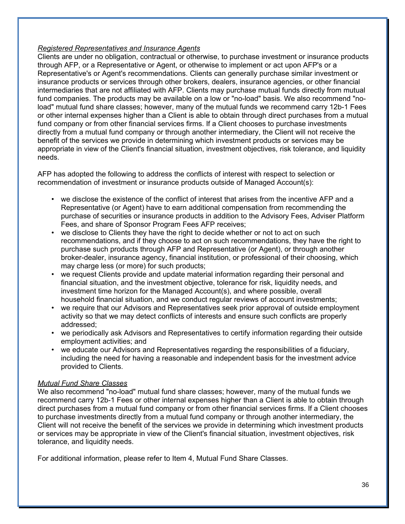### *Registered Representatives and Insurance Agents*

Clients are under no obligation, contractual or otherwise, to purchase investment or insurance products through AFP, or a Representative or Agent, or otherwise to implement or act upon AFP's or a Representative's or Agent's recommendations. Clients can generally purchase similar investment or insurance products or services through other brokers, dealers, insurance agencies, or other financial intermediaries that are not affiliated with AFP. Clients may purchase mutual funds directly from mutual fund companies. The products may be available on a low or "no-load" basis. We also recommend "noload" mutual fund share classes; however, many of the mutual funds we recommend carry 12b-1 Fees or other internal expenses higher than a Client is able to obtain through direct purchases from a mutual fund company or from other financial services firms. If a Client chooses to purchase investments directly from a mutual fund company or through another intermediary, the Client will not receive the benefit of the services we provide in determining which investment products or services may be appropriate in view of the Client's financial situation, investment objectives, risk tolerance, and liquidity needs.

AFP has adopted the following to address the conflicts of interest with respect to selection or recommendation of investment or insurance products outside of Managed Account(s):

- we disclose the existence of the conflict of interest that arises from the incentive AFP and a Representative (or Agent) have to earn additional compensation from recommending the purchase of securities or insurance products in addition to the Advisory Fees, Adviser Platform Fees, and share of Sponsor Program Fees AFP receives;
- we disclose to Clients they have the right to decide whether or not to act on such recommendations, and if they choose to act on such recommendations, they have the right to purchase such products through AFP and Representative (or Agent), or through another broker-dealer, insurance agency, financial institution, or professional of their choosing, which may charge less (or more) for such products;
- we request Clients provide and update material information regarding their personal and financial situation, and the investment objective, tolerance for risk, liquidity needs, and investment time horizon for the Managed Account(s), and where possible, overall household financial situation, and we conduct regular reviews of account investments;
- we require that our Advisors and Representatives seek prior approval of outside employment activity so that we may detect conflicts of interests and ensure such conflicts are properly addressed;
- we periodically ask Advisors and Representatives to certify information regarding their outside employment activities; and
- we educate our Advisors and Representatives regarding the responsibilities of a fiduciary, including the need for having a reasonable and independent basis for the investment advice provided to Clients.

### *Mutual Fund Share Classes*

We also recommend "no-load" mutual fund share classes; however, many of the mutual funds we recommend carry 12b-1 Fees or other internal expenses higher than a Client is able to obtain through direct purchases from a mutual fund company or from other financial services firms. If a Client chooses to purchase investments directly from a mutual fund company or through another intermediary, the Client will not receive the benefit of the services we provide in determining which investment products or services may be appropriate in view of the Client's financial situation, investment objectives, risk tolerance, and liquidity needs.

For additional information, please refer to Item 4, Mutual Fund Share Classes.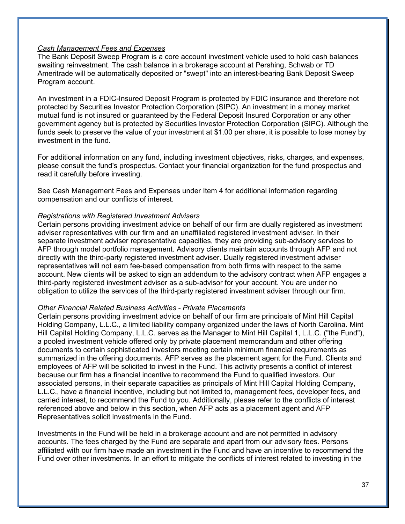### *Cash Management Fees and Expenses*

The Bank Deposit Sweep Program is a core account investment vehicle used to hold cash balances awaiting reinvestment. The cash balance in a brokerage account at Pershing, Schwab or TD Ameritrade will be automatically deposited or "swept" into an interest-bearing Bank Deposit Sweep Program account.

An investment in a FDIC-Insured Deposit Program is protected by FDIC insurance and therefore not protected by Securities Investor Protection Corporation (SIPC). An investment in a money market mutual fund is not insured or guaranteed by the Federal Deposit Insured Corporation or any other government agency but is protected by Securities Investor Protection Corporation (SIPC). Although the funds seek to preserve the value of your investment at \$1.00 per share, it is possible to lose money by investment in the fund.

For additional information on any fund, including investment objectives, risks, charges, and expenses, please consult the fund's prospectus. Contact your financial organization for the fund prospectus and read it carefully before investing.

See Cash Management Fees and Expenses under Item 4 for additional information regarding compensation and our conflicts of interest.

#### *Registrations with Registered Investment Advisers*

Certain persons providing investment advice on behalf of our firm are dually registered as investment adviser representatives with our firm and an unaffiliated registered investment adviser. In their separate investment adviser representative capacities, they are providing sub-advisory services to AFP through model portfolio management. Advisory clients maintain accounts through AFP and not directly with the third-party registered investment adviser. Dually registered investment adviser representatives will not earn fee-based compensation from both firms with respect to the same account. New clients will be asked to sign an addendum to the advisory contract when AFP engages a third-party registered investment adviser as a sub-advisor for your account. You are under no obligation to utilize the services of the third-party registered investment adviser through our firm.

#### *Other Financial Related Business Activities - Private Placements*

Certain persons providing investment advice on behalf of our firm are principals of Mint Hill Capital Holding Company, L.L.C., a limited liability company organized under the laws of North Carolina. Mint Hill Capital Holding Company, L.L.C. serves as the Manager to Mint Hill Capital 1, L.L.C. ("the Fund"), a pooled investment vehicle offered only by private placement memorandum and other offering documents to certain sophisticated investors meeting certain minimum financial requirements as summarized in the offering documents. AFP serves as the placement agent for the Fund. Clients and employees of AFP will be solicited to invest in the Fund. This activity presents a conflict of interest because our firm has a financial incentive to recommend the Fund to qualified investors. Our associated persons, in their separate capacities as principals of Mint Hill Capital Holding Company, L.L.C., have a financial incentive, including but not limited to, management fees, developer fees, and carried interest, to recommend the Fund to you. Additionally, please refer to the conflicts of interest referenced above and below in this section, when AFP acts as a placement agent and AFP Representatives solicit investments in the Fund.

Investments in the Fund will be held in a brokerage account and are not permitted in advisory accounts. The fees charged by the Fund are separate and apart from our advisory fees. Persons affiliated with our firm have made an investment in the Fund and have an incentive to recommend the Fund over other investments. In an effort to mitigate the conflicts of interest related to investing in the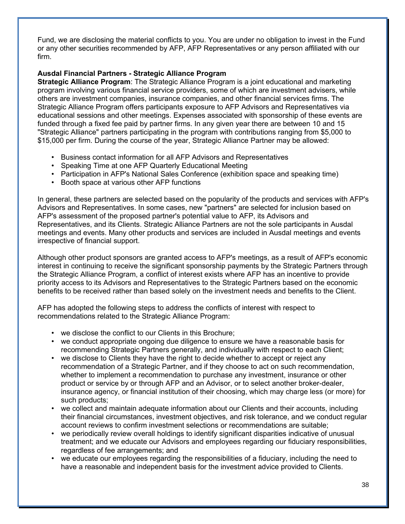Fund, we are disclosing the material conflicts to you. You are under no obligation to invest in the Fund or any other securities recommended by AFP, AFP Representatives or any person affiliated with our firm.

### **Ausdal Financial Partners - Strategic Alliance Program**

**Strategic Alliance Program**: The Strategic Alliance Program is a joint educational and marketing program involving various financial service providers, some of which are investment advisers, while others are investment companies, insurance companies, and other financial services firms. The Strategic Alliance Program offers participants exposure to AFP Advisors and Representatives via educational sessions and other meetings. Expenses associated with sponsorship of these events are funded through a fixed fee paid by partner firms. In any given year there are between 10 and 15 "Strategic Alliance" partners participating in the program with contributions ranging from \$5,000 to \$15,000 per firm. During the course of the year, Strategic Alliance Partner may be allowed:

- Business contact information for all AFP Advisors and Representatives
- Speaking Time at one AFP Quarterly Educational Meeting
- Participation in AFP's National Sales Conference (exhibition space and speaking time)
- Booth space at various other AFP functions

In general, these partners are selected based on the popularity of the products and services with AFP's Advisors and Representatives. In some cases, new "partners" are selected for inclusion based on AFP's assessment of the proposed partner's potential value to AFP, its Advisors and Representatives, and its Clients. Strategic Alliance Partners are not the sole participants in Ausdal meetings and events. Many other products and services are included in Ausdal meetings and events irrespective of financial support.

Although other product sponsors are granted access to AFP's meetings, as a result of AFP's economic interest in continuing to receive the significant sponsorship payments by the Strategic Partners through the Strategic Alliance Program, a conflict of interest exists where AFP has an incentive to provide priority access to its Advisors and Representatives to the Strategic Partners based on the economic benefits to be received rather than based solely on the investment needs and benefits to the Client.

AFP has adopted the following steps to address the conflicts of interest with respect to recommendations related to the Strategic Alliance Program:

- we disclose the conflict to our Clients in this Brochure;
- we conduct appropriate ongoing due diligence to ensure we have a reasonable basis for recommending Strategic Partners generally, and individually with respect to each Client;
- we disclose to Clients they have the right to decide whether to accept or reject any recommendation of a Strategic Partner, and if they choose to act on such recommendation, whether to implement a recommendation to purchase any investment, insurance or other product or service by or through AFP and an Advisor, or to select another broker-dealer, insurance agency, or financial institution of their choosing, which may charge less (or more) for such products;
- we collect and maintain adequate information about our Clients and their accounts, including their financial circumstances, investment objectives, and risk tolerance, and we conduct regular account reviews to confirm investment selections or recommendations are suitable;
- we periodically review overall holdings to identify significant disparities indicative of unusual treatment; and we educate our Advisors and employees regarding our fiduciary responsibilities, regardless of fee arrangements; and
- we educate our employees regarding the responsibilities of a fiduciary, including the need to have a reasonable and independent basis for the investment advice provided to Clients.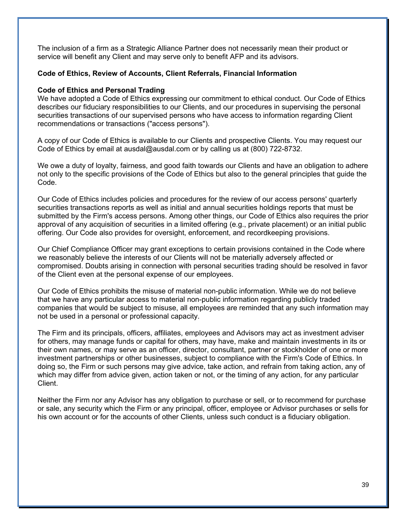The inclusion of a firm as a Strategic Alliance Partner does not necessarily mean their product or service will benefit any Client and may serve only to benefit AFP and its advisors.

### **Code of Ethics, Review of Accounts, Client Referrals, Financial Information**

### **Code of Ethics and Personal Trading**

We have adopted a Code of Ethics expressing our commitment to ethical conduct. Our Code of Ethics describes our fiduciary responsibilities to our Clients, and our procedures in supervising the personal securities transactions of our supervised persons who have access to information regarding Client recommendations or transactions ("access persons").

A copy of our Code of Ethics is available to our Clients and prospective Clients. You may request our Code of Ethics by email at ausdal@ausdal.com or by calling us at (800) 722-8732.

We owe a duty of loyalty, fairness, and good faith towards our Clients and have an obligation to adhere not only to the specific provisions of the Code of Ethics but also to the general principles that guide the Code.

Our Code of Ethics includes policies and procedures for the review of our access persons' quarterly securities transactions reports as well as initial and annual securities holdings reports that must be submitted by the Firm's access persons. Among other things, our Code of Ethics also requires the prior approval of any acquisition of securities in a limited offering (e.g., private placement) or an initial public offering. Our Code also provides for oversight, enforcement, and recordkeeping provisions.

Our Chief Compliance Officer may grant exceptions to certain provisions contained in the Code where we reasonably believe the interests of our Clients will not be materially adversely affected or compromised. Doubts arising in connection with personal securities trading should be resolved in favor of the Client even at the personal expense of our employees.

Our Code of Ethics prohibits the misuse of material non-public information. While we do not believe that we have any particular access to material non-public information regarding publicly traded companies that would be subject to misuse, all employees are reminded that any such information may not be used in a personal or professional capacity.

The Firm and its principals, officers, affiliates, employees and Advisors may act as investment adviser for others, may manage funds or capital for others, may have, make and maintain investments in its or their own names, or may serve as an officer, director, consultant, partner or stockholder of one or more investment partnerships or other businesses, subject to compliance with the Firm's Code of Ethics. In doing so, the Firm or such persons may give advice, take action, and refrain from taking action, any of which may differ from advice given, action taken or not, or the timing of any action, for any particular Client.

Neither the Firm nor any Advisor has any obligation to purchase or sell, or to recommend for purchase or sale, any security which the Firm or any principal, officer, employee or Advisor purchases or sells for his own account or for the accounts of other Clients, unless such conduct is a fiduciary obligation.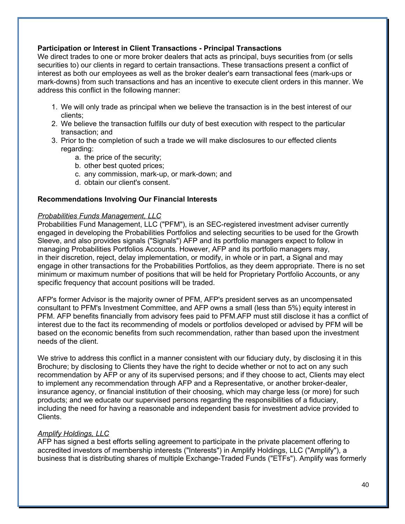### **Participation or Interest in Client Transactions - Principal Transactions**

We direct trades to one or more broker dealers that acts as principal, buys securities from (or sells securities to) our clients in regard to certain transactions. These transactions present a conflict of interest as both our employees as well as the broker dealer's earn transactional fees (mark-ups or mark-downs) from such transactions and has an incentive to execute client orders in this manner. We address this conflict in the following manner:

- 1. We will only trade as principal when we believe the transaction is in the best interest of our clients;
- 2. We believe the transaction fulfills our duty of best execution with respect to the particular transaction; and
- 3. Prior to the completion of such a trade we will make disclosures to our effected clients regarding:
	- a. the price of the security;
	- b. other best quoted prices;
	- c. any commission, mark-up, or mark-down; and
	- d. obtain our client's consent.

### **Recommendations Involving Our Financial Interests**

### *Probabilities Funds Management, LLC*

Probabilities Fund Management, LLC ("PFM"), is an SEC-registered investment adviser currently engaged in developing the Probabilities Portfolios and selecting securities to be used for the Growth Sleeve, and also provides signals ("Signals") AFP and its portfolio managers expect to follow in managing Probabilities Portfolios Accounts. However, AFP and its portfolio managers may, in their discretion, reject, delay implementation, or modify, in whole or in part, a Signal and may engage in other transactions for the Probabilities Portfolios, as they deem appropriate. There is no set minimum or maximum number of positions that will be held for Proprietary Portfolio Accounts, or any specific frequency that account positions will be traded.

AFP's former Advisor is the majority owner of PFM, AFP's president serves as an uncompensated consultant to PFM's Investment Committee, and AFP owns a small (less than 5%) equity interest in PFM. AFP benefits financially from advisory fees paid to PFM.AFP must still disclose it has a conflict of interest due to the fact its recommending of models or portfolios developed or advised by PFM will be based on the economic benefits from such recommendation, rather than based upon the investment needs of the client.

We strive to address this conflict in a manner consistent with our fiduciary duty, by disclosing it in this Brochure; by disclosing to Clients they have the right to decide whether or not to act on any such recommendation by AFP or any of its supervised persons; and if they choose to act, Clients may elect to implement any recommendation through AFP and a Representative, or another broker-dealer, insurance agency, or financial institution of their choosing, which may charge less (or more) for such products; and we educate our supervised persons regarding the responsibilities of a fiduciary, including the need for having a reasonable and independent basis for investment advice provided to Clients.

### *Amplify Holdings, LLC*

AFP has signed a best efforts selling agreement to participate in the private placement offering to accredited investors of membership interests ("Interests") in Amplify Holdings, LLC ("Amplify"), a business that is distributing shares of multiple Exchange-Traded Funds ("ETFs"). Amplify was formerly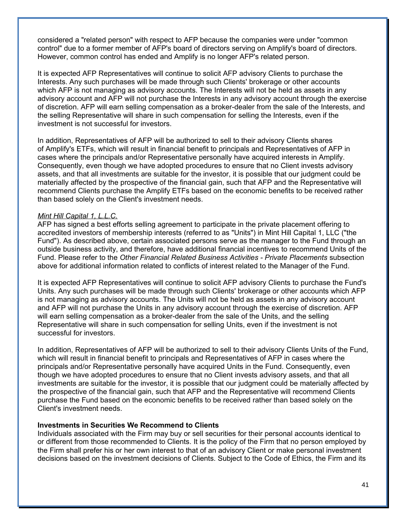considered a "related person" with respect to AFP because the companies were under "common control" due to a former member of AFP's board of directors serving on Amplify's board of directors. However, common control has ended and Amplify is no longer AFP's related person.

It is expected AFP Representatives will continue to solicit AFP advisory Clients to purchase the Interests. Any such purchases will be made through such Clients' brokerage or other accounts which AFP is not managing as advisory accounts. The Interests will not be held as assets in any advisory account and AFP will not purchase the Interests in any advisory account through the exercise of discretion. AFP will earn selling compensation as a broker-dealer from the sale of the Interests, and the selling Representative will share in such compensation for selling the Interests, even if the investment is not successful for investors.

In addition, Representatives of AFP will be authorized to sell to their advisory Clients shares of Amplify's ETFs, which will result in financial benefit to principals and Representatives of AFP in cases where the principals and/or Representative personally have acquired interests in Amplify. Consequently, even though we have adopted procedures to ensure that no Client invests advisory assets, and that all investments are suitable for the investor, it is possible that our judgment could be materially affected by the prospective of the financial gain, such that AFP and the Representative will recommend Clients purchase the Amplify ETFs based on the economic benefits to be received rather than based solely on the Client's investment needs.

### *Mint Hill Capital 1, L.L.C.*

AFP has signed a best efforts selling agreement to participate in the private placement offering to accredited investors of membership interests (referred to as "Units") in Mint Hill Capital 1, LLC ("the Fund"). As described above, certain associated persons serve as the manager to the Fund through an outside business activity, and therefore, have additional financial incentives to recommend Units of the Fund. Please refer to the *Other Financial Related Business Activities - Private Placements* subsection above for additional information related to conflicts of interest related to the Manager of the Fund.

It is expected AFP Representatives will continue to solicit AFP advisory Clients to purchase the Fund's Units. Any such purchases will be made through such Clients' brokerage or other accounts which AFP is not managing as advisory accounts. The Units will not be held as assets in any advisory account and AFP will not purchase the Units in any advisory account through the exercise of discretion. AFP will earn selling compensation as a broker-dealer from the sale of the Units, and the selling Representative will share in such compensation for selling Units, even if the investment is not successful for investors.

In addition, Representatives of AFP will be authorized to sell to their advisory Clients Units of the Fund, which will result in financial benefit to principals and Representatives of AFP in cases where the principals and/or Representative personally have acquired Units in the Fund. Consequently, even though we have adopted procedures to ensure that no Client invests advisory assets, and that all investments are suitable for the investor, it is possible that our judgment could be materially affected by the prospective of the financial gain, such that AFP and the Representative will recommend Clients purchase the Fund based on the economic benefits to be received rather than based solely on the Client's investment needs.

### **Investments in Securities We Recommend to Clients**

Individuals associated with the Firm may buy or sell securities for their personal accounts identical to or different from those recommended to Clients. It is the policy of the Firm that no person employed by the Firm shall prefer his or her own interest to that of an advisory Client or make personal investment decisions based on the investment decisions of Clients. Subject to the Code of Ethics, the Firm and its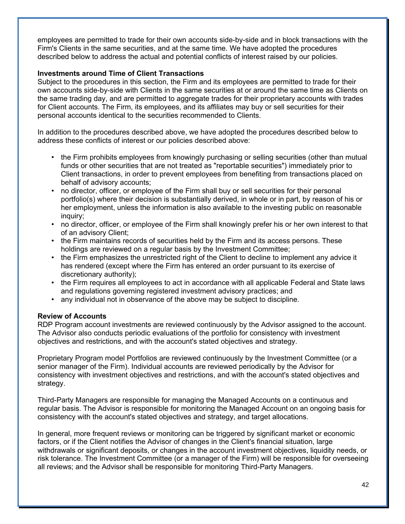employees are permitted to trade for their own accounts side-by-side and in block transactions with the Firm's Clients in the same securities, and at the same time. We have adopted the procedures described below to address the actual and potential conflicts of interest raised by our policies.

### **Investments around Time of Client Transactions**

Subject to the procedures in this section, the Firm and its employees are permitted to trade for their own accounts side-by-side with Clients in the same securities at or around the same time as Clients on the same trading day, and are permitted to aggregate trades for their proprietary accounts with trades for Client accounts. The Firm, its employees, and its affiliates may buy or sell securities for their personal accounts identical to the securities recommended to Clients.

In addition to the procedures described above, we have adopted the procedures described below to address these conflicts of interest or our policies described above:

- the Firm prohibits employees from knowingly purchasing or selling securities (other than mutual funds or other securities that are not treated as "reportable securities") immediately prior to Client transactions, in order to prevent employees from benefiting from transactions placed on behalf of advisory accounts;
- no director, officer, or employee of the Firm shall buy or sell securities for their personal portfolio(s) where their decision is substantially derived, in whole or in part, by reason of his or her employment, unless the information is also available to the investing public on reasonable inquiry;
- no director, officer, or employee of the Firm shall knowingly prefer his or her own interest to that of an advisory Client;
- the Firm maintains records of securities held by the Firm and its access persons. These holdings are reviewed on a regular basis by the Investment Committee;
- the Firm emphasizes the unrestricted right of the Client to decline to implement any advice it has rendered (except where the Firm has entered an order pursuant to its exercise of discretionary authority);
- the Firm requires all employees to act in accordance with all applicable Federal and State laws and regulations governing registered investment advisory practices; and
- any individual not in observance of the above may be subject to discipline.

### **Review of Accounts**

RDP Program account investments are reviewed continuously by the Advisor assigned to the account. The Advisor also conducts periodic evaluations of the portfolio for consistency with investment objectives and restrictions, and with the account's stated objectives and strategy.

Proprietary Program model Portfolios are reviewed continuously by the Investment Committee (or a senior manager of the Firm). Individual accounts are reviewed periodically by the Advisor for consistency with investment objectives and restrictions, and with the account's stated objectives and strategy.

Third-Party Managers are responsible for managing the Managed Accounts on a continuous and regular basis. The Advisor is responsible for monitoring the Managed Account on an ongoing basis for consistency with the account's stated objectives and strategy, and target allocations.

In general, more frequent reviews or monitoring can be triggered by significant market or economic factors, or if the Client notifies the Advisor of changes in the Client's financial situation, large withdrawals or significant deposits, or changes in the account investment objectives, liquidity needs, or risk tolerance. The Investment Committee (or a manager of the Firm) will be responsible for overseeing all reviews; and the Advisor shall be responsible for monitoring Third-Party Managers.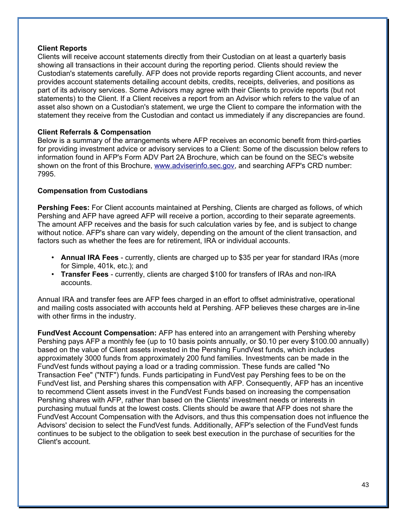### **Client Reports**

Clients will receive account statements directly from their Custodian on at least a quarterly basis showing all transactions in their account during the reporting period. Clients should review the Custodian's statements carefully. AFP does not provide reports regarding Client accounts, and never provides account statements detailing account debits, credits, receipts, deliveries, and positions as part of its advisory services. Some Advisors may agree with their Clients to provide reports (but not statements) to the Client. If a Client receives a report from an Advisor which refers to the value of an asset also shown on a Custodian's statement, we urge the Client to compare the information with the statement they receive from the Custodian and contact us immediately if any discrepancies are found.

### **Client Referrals & Compensation**

Below is a summary of the arrangements where AFP receives an economic benefit from third-parties for providing investment advice or advisory services to a Client: Some of the discussion below refers to information found in AFP's Form ADV Part 2A Brochure, which can be found on the SEC's website shown on the front of this Brochure, [www.adviserinfo.sec.gov,](http://www.adviserinfo.sec.gov/) and searching AFP's CRD number: 7995.

### **Compensation from Custodians**

**Pershing Fees:** For Client accounts maintained at Pershing, Clients are charged as follows, of which Pershing and AFP have agreed AFP will receive a portion, according to their separate agreements. The amount AFP receives and the basis for such calculation varies by fee, and is subject to change without notice. AFP's share can vary widely, depending on the amount of the client transaction, and factors such as whether the fees are for retirement, IRA or individual accounts.

- **Annual IRA Fees** currently, clients are charged up to \$35 per year for standard IRAs (more for Simple, 401k, etc.); and
- **Transfer Fees** currently, clients are charged \$100 for transfers of IRAs and non-IRA accounts.

Annual IRA and transfer fees are AFP fees charged in an effort to offset administrative, operational and mailing costs associated with accounts held at Pershing. AFP believes these charges are in-line with other firms in the industry.

**FundVest Account Compensation:** AFP has entered into an arrangement with Pershing whereby Pershing pays AFP a monthly fee (up to 10 basis points annually, or \$0.10 per every \$100.00 annually) based on the value of Client assets invested in the Pershing FundVest funds, which includes approximately 3000 funds from approximately 200 fund families. Investments can be made in the FundVest funds without paying a load or a trading commission. These funds are called "No Transaction Fee" ("NTF") funds. Funds participating in FundVest pay Pershing fees to be on the FundVest list, and Pershing shares this compensation with AFP. Consequently, AFP has an incentive to recommend Client assets invest in the FundVest Funds based on increasing the compensation Pershing shares with AFP, rather than based on the Clients' investment needs or interests in purchasing mutual funds at the lowest costs. Clients should be aware that AFP does not share the FundVest Account Compensation with the Advisors, and thus this compensation does not influence the Advisors' decision to select the FundVest funds. Additionally, AFP's selection of the FundVest funds continues to be subject to the obligation to seek best execution in the purchase of securities for the Client's account.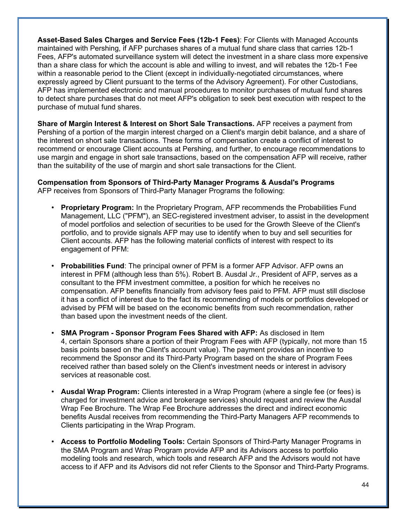**Asset-Based Sales Charges and Service Fees (12b-1 Fees)**: For Clients with Managed Accounts maintained with Pershing, if AFP purchases shares of a mutual fund share class that carries 12b-1 Fees, AFP's automated surveillance system will detect the investment in a share class more expensive than a share class for which the account is able and willing to invest, and will rebates the 12b-1 Fee within a reasonable period to the Client (except in individually-negotiated circumstances, where expressly agreed by Client pursuant to the terms of the Advisory Agreement). For other Custodians, AFP has implemented electronic and manual procedures to monitor purchases of mutual fund shares to detect share purchases that do not meet AFP's obligation to seek best execution with respect to the purchase of mutual fund shares.

**Share of Margin Interest & Interest on Short Sale Transactions.** AFP receives a payment from Pershing of a portion of the margin interest charged on a Client's margin debit balance, and a share of the interest on short sale transactions. These forms of compensation create a conflict of interest to recommend or encourage Client accounts at Pershing, and further, to encourage recommendations to use margin and engage in short sale transactions, based on the compensation AFP will receive, rather than the suitability of the use of margin and short sale transactions for the Client.

**Compensation from Sponsors of Third-Party Manager Programs & Ausdal's Programs** AFP receives from Sponsors of Third-Party Manager Programs the following:

- **Proprietary Program:** In the Proprietary Program, AFP recommends the Probabilities Fund Management, LLC ("PFM"), an SEC-registered investment adviser, to assist in the development of model portfolios and selection of securities to be used for the Growth Sleeve of the Client's portfolio, and to provide signals AFP may use to identify when to buy and sell securities for Client accounts. AFP has the following material conflicts of interest with respect to its engagement of PFM:
- **Probabilities Fund**: The principal owner of PFM is a former AFP Advisor. AFP owns an interest in PFM (although less than 5%). Robert B. Ausdal Jr., President of AFP, serves as a consultant to the PFM investment committee, a position for which he receives no compensation. AFP benefits financially from advisory fees paid to PFM. AFP must still disclose it has a conflict of interest due to the fact its recommending of models or portfolios developed or advised by PFM will be based on the economic benefits from such recommendation, rather than based upon the investment needs of the client.
- **SMA Program Sponsor Program Fees Shared with AFP:** As disclosed in Item 4, certain Sponsors share a portion of their Program Fees with AFP (typically, not more than 15 basis points based on the Client's account value). The payment provides an incentive to recommend the Sponsor and its Third-Party Program based on the share of Program Fees received rather than based solely on the Client's investment needs or interest in advisory services at reasonable cost.
- **Ausdal Wrap Program:** Clients interested in a Wrap Program (where a single fee (or fees) is charged for investment advice and brokerage services) should request and review the Ausdal Wrap Fee Brochure. The Wrap Fee Brochure addresses the direct and indirect economic benefits Ausdal receives from recommending the Third-Party Managers AFP recommends to Clients participating in the Wrap Program.
- **Access to Portfolio Modeling Tools:** Certain Sponsors of Third-Party Manager Programs in the SMA Program and Wrap Program provide AFP and its Advisors access to portfolio modeling tools and research, which tools and research AFP and the Advisors would not have access to if AFP and its Advisors did not refer Clients to the Sponsor and Third-Party Programs.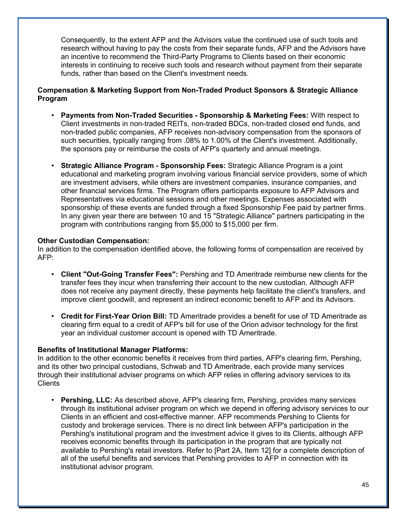Consequently, to the extent AFP and the Advisors value the continued use of such tools and research without having to pay the costs from their separate funds, AFP and the Advisors have an incentive to recommend the Third-Party Programs to Clients based on their economic interests in continuing to receive such tools and research without payment from their separate funds, rather than based on the Client's investment needs.

### **Compensation & Marketing Support from Non-Traded Product Sponsors & Strategic Alliance Program**

- **Payments from Non-Traded Securities Sponsorship & Marketing Fees:** With respect to Client investments in non-traded REITs, non-traded BDCs, non-traded closed end funds, and non-traded public companies, AFP receives non-advisory compensation from the sponsors of such securities, typically ranging from .08% to 1.00% of the Client's investment. Additionally, the sponsors pay or reimburse the costs of AFP's quarterly and annual meetings.
- **Strategic Alliance Program Sponsorship Fees:** Strategic Alliance Program is a joint educational and marketing program involving various financial service providers, some of which are investment advisers, while others are investment companies, insurance companies, and other financial services firms. The Program offers participants exposure to AFP Advisors and Representatives via educational sessions and other meetings. Expenses associated with sponsorship of these events are funded through a fixed Sponsorship Fee paid by partner firms. In any given year there are between 10 and 15 "Strategic Alliance" partners participating in the program with contributions ranging from \$5,000 to \$15,000 per firm.

### **Other Custodian Compensation:**

In addition to the compensation identified above, the following forms of compensation are received by AFP:

- **Client "Out-Going Transfer Fees":** Pershing and TD Ameritrade reimburse new clients for the transfer fees they incur when transferring their account to the new custodian. Although AFP does not receive any payment directly, these payments help facilitate the client's transfers, and improve client goodwill, and represent an indirect economic benefit to AFP and its Advisors.
- **Credit for First-Year Orion Bill:** TD Ameritrade provides a benefit for use of TD Ameritrade as clearing firm equal to a credit of AFP's bill for use of the Orion advisor technology for the first year an individual customer account is opened with TD Ameritrade.

### **Benefits of Institutional Manager Platforms:**

In addition to the other economic benefits it receives from third parties, AFP's clearing firm, Pershing, and its other two principal custodians, Schwab and TD Ameritrade, each provide many services through their institutional adviser programs on which AFP relies in offering advisory services to its **Clients** 

• **Pershing, LLC:** As described above, AFP's clearing firm, Pershing, provides many services through its institutional adviser program on which we depend in offering advisory services to our Clients in an efficient and cost-effective manner. AFP recommends Pershing to Clients for custody and brokerage services. There is no direct link between AFP's participation in the Pershing's institutional program and the investment advice it gives to its Clients, although AFP receives economic benefits through its participation in the program that are typically not available to Pershing's retail investors. Refer to [Part 2A, Item 12] for a complete description of all of the useful benefits and services that Pershing provides to AFP in connection with its institutional advisor program.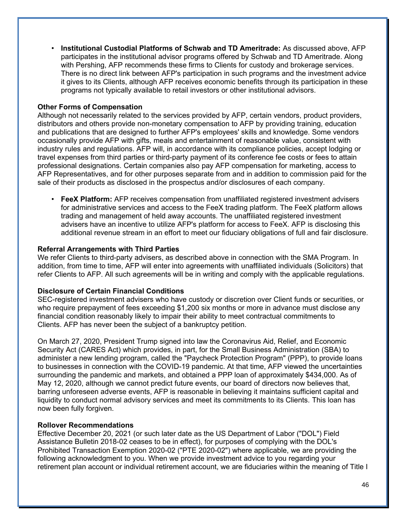• **Institutional Custodial Platforms of Schwab and TD Ameritrade:** As discussed above, AFP participates in the institutional advisor programs offered by Schwab and TD Ameritrade. Along with Pershing, AFP recommends these firms to Clients for custody and brokerage services. There is no direct link between AFP's participation in such programs and the investment advice it gives to its Clients, although AFP receives economic benefits through its participation in these programs not typically available to retail investors or other institutional advisors.

### **Other Forms of Compensation**

Although not necessarily related to the services provided by AFP, certain vendors, product providers, distributors and others provide non-monetary compensation to AFP by providing training, education and publications that are designed to further AFP's employees' skills and knowledge. Some vendors occasionally provide AFP with gifts, meals and entertainment of reasonable value, consistent with industry rules and regulations. AFP will, in accordance with its compliance policies, accept lodging or travel expenses from third parties or third-party payment of its conference fee costs or fees to attain professional designations. Certain companies also pay AFP compensation for marketing, access to AFP Representatives, and for other purposes separate from and in addition to commission paid for the sale of their products as disclosed in the prospectus and/or disclosures of each company.

• **FeeX Platform:** AFP receives compensation from unaffiliated registered investment advisers for administrative services and access to the FeeX trading platform. The FeeX platform allows trading and management of held away accounts. The unaffiliated registered investment advisers have an incentive to utilize AFP's platform for access to FeeX. AFP is disclosing this additional revenue stream in an effort to meet our fiduciary obligations of full and fair disclosure.

### **Referral Arrangements with Third Parties**

We refer Clients to third-party advisers, as described above in connection with the SMA Program. In addition, from time to time, AFP will enter into agreements with unaffiliated individuals (Solicitors) that refer Clients to AFP. All such agreements will be in writing and comply with the applicable regulations.

### **Disclosure of Certain Financial Conditions**

SEC-registered investment advisers who have custody or discretion over Client funds or securities, or who require prepayment of fees exceeding \$1,200 six months or more in advance must disclose any financial condition reasonably likely to impair their ability to meet contractual commitments to Clients. AFP has never been the subject of a bankruptcy petition.

On March 27, 2020, President Trump signed into law the Coronavirus Aid, Relief, and Economic Security Act (CARES Act) which provides, in part, for the Small Business Administration (SBA) to administer a new lending program, called the "Paycheck Protection Program" (PPP), to provide loans to businesses in connection with the COVID-19 pandemic. At that time, AFP viewed the uncertainties surrounding the pandemic and markets, and obtained a PPP loan of approximately \$434,000. As of May 12, 2020, although we cannot predict future events, our board of directors now believes that, barring unforeseen adverse events, AFP is reasonable in believing it maintains sufficient capital and liquidity to conduct normal advisory services and meet its commitments to its Clients. This loan has now been fully forgiven.

### **Rollover Recommendations**

Effective December 20, 2021 (or such later date as the US Department of Labor ("DOL") Field Assistance Bulletin 2018-02 ceases to be in effect), for purposes of complying with the DOL's Prohibited Transaction Exemption 2020-02 ("PTE 2020-02") where applicable, we are providing the following acknowledgment to you. When we provide investment advice to you regarding your retirement plan account or individual retirement account, we are fiduciaries within the meaning of Title I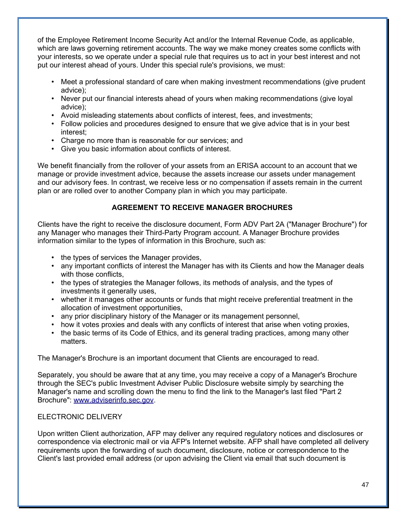of the Employee Retirement Income Security Act and/or the Internal Revenue Code, as applicable, which are laws governing retirement accounts. The way we make money creates some conflicts with your interests, so we operate under a special rule that requires us to act in your best interest and not put our interest ahead of yours. Under this special rule's provisions, we must:

- Meet a professional standard of care when making investment recommendations (give prudent advice);
- Never put our financial interests ahead of yours when making recommendations (give loyal advice);
- Avoid misleading statements about conflicts of interest, fees, and investments;
- Follow policies and procedures designed to ensure that we give advice that is in your best interest;
- Charge no more than is reasonable for our services; and
- Give you basic information about conflicts of interest.

We benefit financially from the rollover of your assets from an ERISA account to an account that we manage or provide investment advice, because the assets increase our assets under management and our advisory fees. In contrast, we receive less or no compensation if assets remain in the current plan or are rolled over to another Company plan in which you may participate.

### **AGREEMENT TO RECEIVE MANAGER BROCHURES**

Clients have the right to receive the disclosure document, Form ADV Part 2A ("Manager Brochure") for any Manager who manages their Third-Party Program account. A Manager Brochure provides information similar to the types of information in this Brochure, such as:

- the types of services the Manager provides,
- any important conflicts of interest the Manager has with its Clients and how the Manager deals with those conflicts.
- the types of strategies the Manager follows, its methods of analysis, and the types of investments it generally uses,
- whether it manages other accounts or funds that might receive preferential treatment in the allocation of investment opportunities,
- any prior disciplinary history of the Manager or its management personnel,
- how it votes proxies and deals with any conflicts of interest that arise when voting proxies,
- the basic terms of its Code of Ethics, and its general trading practices, among many other matters.

The Manager's Brochure is an important document that Clients are encouraged to read.

Separately, you should be aware that at any time, you may receive a copy of a Manager's Brochure through the SEC's public Investment Adviser Public Disclosure website simply by searching the Manager's name and scrolling down the menu to find the link to the Manager's last filed "Part 2 Brochure": [www.adviserinfo.sec.gov.](http://www.adviserinfo.sec.gov/)

### ELECTRONIC DELIVERY

Upon written Client authorization, AFP may deliver any required regulatory notices and disclosures or correspondence via electronic mail or via AFP's Internet website. AFP shall have completed all delivery requirements upon the forwarding of such document, disclosure, notice or correspondence to the Client's last provided email address (or upon advising the Client via email that such document is